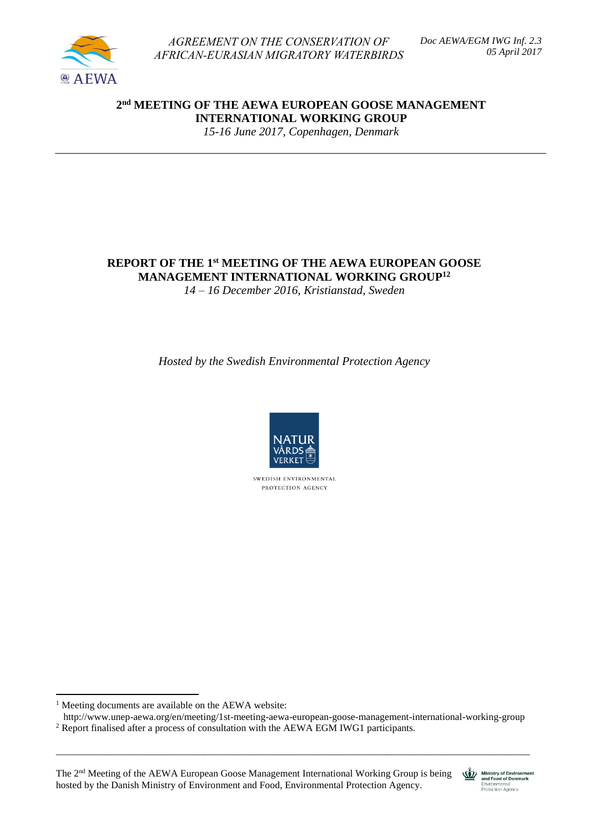

*AGREEMENT ON THE CONSERVATION OF AFRICAN-EURASIAN MIGRATORY WATERBIRDS*  *Doc AEWA/EGM IWG Inf. 2.3 05 April 2017*

**2 nd MEETING OF THE AEWA EUROPEAN GOOSE MANAGEMENT INTERNATIONAL WORKING GROUP**

*15-16 June 2017, Copenhagen, Denmark*

# **REPORT OF THE 1 st MEETING OF THE AEWA EUROPEAN GOOSE MANAGEMENT INTERNATIONAL WORKING GROUP<sup>12</sup>**

*14 – 16 December 2016, Kristianstad, Sweden*

*Hosted by the Swedish Environmental Protection Agency*



SWEDISH ENVIRONMENTAL PROTECTION AGENCY

<sup>1</sup> Meeting documents are available on the AEWA website:

 $\overline{a}$ 

 <http://www.unep-aewa.org/en/meeting/1st-meeting-aewa-european-goose-management-international-working-group> <sup>2</sup> Report finalised after a process of consultation with the AEWA EGM IWG1 participants.

\_\_\_\_\_\_\_\_\_\_\_\_\_\_\_\_\_\_\_\_\_\_\_\_\_\_\_\_\_\_\_\_\_\_\_\_\_\_\_\_\_\_\_\_\_\_\_\_\_\_\_\_\_\_\_\_\_\_\_\_\_\_\_\_\_\_\_\_\_\_\_\_\_\_\_\_\_\_\_\_\_\_\_\_\_\_\_\_\_\_\_\_\_\_\_\_

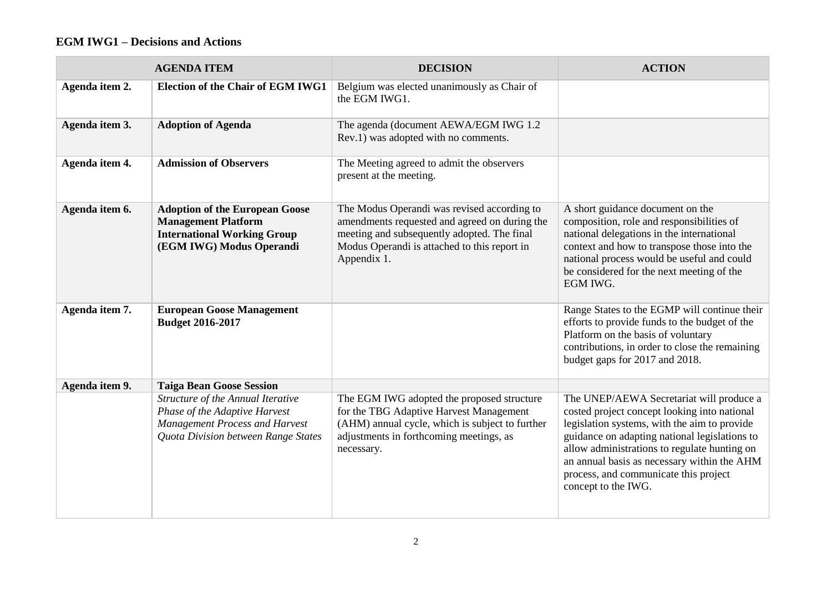# **EGM IWG1 – Decisions and Actions**

|                | <b>AGENDA ITEM</b>                                                                                                                                 | <b>DECISION</b>                                                                                                                                                                                            | <b>ACTION</b>                                                                                                                                                                                                                                                                                                                                            |
|----------------|----------------------------------------------------------------------------------------------------------------------------------------------------|------------------------------------------------------------------------------------------------------------------------------------------------------------------------------------------------------------|----------------------------------------------------------------------------------------------------------------------------------------------------------------------------------------------------------------------------------------------------------------------------------------------------------------------------------------------------------|
| Agenda item 2. | <b>Election of the Chair of EGM IWG1</b>                                                                                                           | Belgium was elected unanimously as Chair of<br>the EGM IWG1.                                                                                                                                               |                                                                                                                                                                                                                                                                                                                                                          |
| Agenda item 3. | <b>Adoption of Agenda</b>                                                                                                                          | The agenda (document AEWA/EGM IWG 1.2<br>Rev.1) was adopted with no comments.                                                                                                                              |                                                                                                                                                                                                                                                                                                                                                          |
| Agenda item 4. | <b>Admission of Observers</b>                                                                                                                      | The Meeting agreed to admit the observers<br>present at the meeting.                                                                                                                                       |                                                                                                                                                                                                                                                                                                                                                          |
| Agenda item 6. | <b>Adoption of the European Goose</b><br><b>Management Platform</b><br><b>International Working Group</b><br>(EGM IWG) Modus Operandi              | The Modus Operandi was revised according to<br>amendments requested and agreed on during the<br>meeting and subsequently adopted. The final<br>Modus Operandi is attached to this report in<br>Appendix 1. | A short guidance document on the<br>composition, role and responsibilities of<br>national delegations in the international<br>context and how to transpose those into the<br>national process would be useful and could<br>be considered for the next meeting of the<br>EGM IWG.                                                                         |
| Agenda item 7. | <b>European Goose Management</b><br><b>Budget 2016-2017</b>                                                                                        |                                                                                                                                                                                                            | Range States to the EGMP will continue their<br>efforts to provide funds to the budget of the<br>Platform on the basis of voluntary<br>contributions, in order to close the remaining<br>budget gaps for 2017 and 2018.                                                                                                                                  |
| Agenda item 9. | <b>Taiga Bean Goose Session</b>                                                                                                                    |                                                                                                                                                                                                            |                                                                                                                                                                                                                                                                                                                                                          |
|                | Structure of the Annual Iterative<br>Phase of the Adaptive Harvest<br><b>Management Process and Harvest</b><br>Quota Division between Range States | The EGM IWG adopted the proposed structure<br>for the TBG Adaptive Harvest Management<br>(AHM) annual cycle, which is subject to further<br>adjustments in forthcoming meetings, as<br>necessary.          | The UNEP/AEWA Secretariat will produce a<br>costed project concept looking into national<br>legislation systems, with the aim to provide<br>guidance on adapting national legislations to<br>allow administrations to regulate hunting on<br>an annual basis as necessary within the AHM<br>process, and communicate this project<br>concept to the IWG. |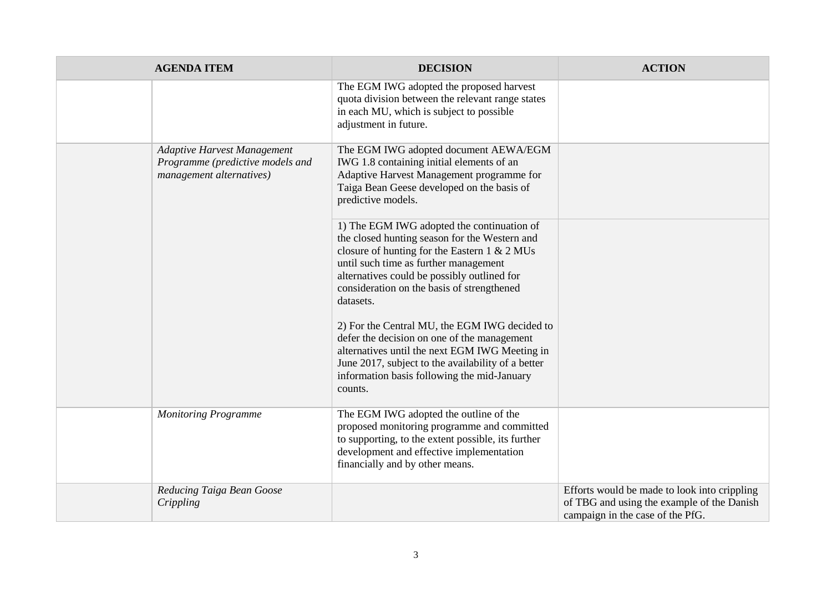| <b>AGENDA ITEM</b>                                                                                 | <b>DECISION</b>                                                                                                                                                                                                                                                                                           | <b>ACTION</b>                                                                                                                  |
|----------------------------------------------------------------------------------------------------|-----------------------------------------------------------------------------------------------------------------------------------------------------------------------------------------------------------------------------------------------------------------------------------------------------------|--------------------------------------------------------------------------------------------------------------------------------|
|                                                                                                    | The EGM IWG adopted the proposed harvest<br>quota division between the relevant range states<br>in each MU, which is subject to possible<br>adjustment in future.                                                                                                                                         |                                                                                                                                |
| <b>Adaptive Harvest Management</b><br>Programme (predictive models and<br>management alternatives) | The EGM IWG adopted document AEWA/EGM<br>IWG 1.8 containing initial elements of an<br>Adaptive Harvest Management programme for<br>Taiga Bean Geese developed on the basis of<br>predictive models.                                                                                                       |                                                                                                                                |
|                                                                                                    | 1) The EGM IWG adopted the continuation of<br>the closed hunting season for the Western and<br>closure of hunting for the Eastern $1 \& 2 \text{ MUs}$<br>until such time as further management<br>alternatives could be possibly outlined for<br>consideration on the basis of strengthened<br>datasets. |                                                                                                                                |
|                                                                                                    | 2) For the Central MU, the EGM IWG decided to<br>defer the decision on one of the management<br>alternatives until the next EGM IWG Meeting in<br>June 2017, subject to the availability of a better<br>information basis following the mid-January<br>counts.                                            |                                                                                                                                |
| <b>Monitoring Programme</b>                                                                        | The EGM IWG adopted the outline of the<br>proposed monitoring programme and committed<br>to supporting, to the extent possible, its further<br>development and effective implementation<br>financially and by other means.                                                                                |                                                                                                                                |
| Reducing Taiga Bean Goose<br>Crippling                                                             |                                                                                                                                                                                                                                                                                                           | Efforts would be made to look into crippling<br>of TBG and using the example of the Danish<br>campaign in the case of the PfG. |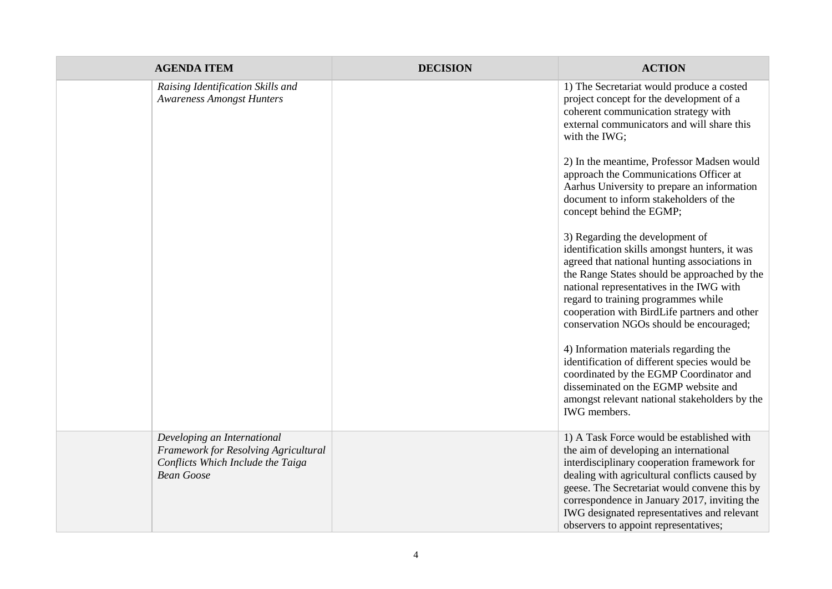| <b>AGENDA ITEM</b>                                                                                                            | <b>DECISION</b> | <b>ACTION</b>                                                                                                                                                                                                                                                                                                                                                               |
|-------------------------------------------------------------------------------------------------------------------------------|-----------------|-----------------------------------------------------------------------------------------------------------------------------------------------------------------------------------------------------------------------------------------------------------------------------------------------------------------------------------------------------------------------------|
| Raising Identification Skills and<br><b>Awareness Amongst Hunters</b>                                                         |                 | 1) The Secretariat would produce a costed<br>project concept for the development of a<br>coherent communication strategy with<br>external communicators and will share this<br>with the IWG;                                                                                                                                                                                |
|                                                                                                                               |                 | 2) In the meantime, Professor Madsen would<br>approach the Communications Officer at<br>Aarhus University to prepare an information<br>document to inform stakeholders of the<br>concept behind the EGMP;                                                                                                                                                                   |
|                                                                                                                               |                 | 3) Regarding the development of<br>identification skills amongst hunters, it was<br>agreed that national hunting associations in<br>the Range States should be approached by the<br>national representatives in the IWG with<br>regard to training programmes while<br>cooperation with BirdLife partners and other<br>conservation NGOs should be encouraged;              |
|                                                                                                                               |                 | 4) Information materials regarding the<br>identification of different species would be<br>coordinated by the EGMP Coordinator and<br>disseminated on the EGMP website and<br>amongst relevant national stakeholders by the<br>IWG members.                                                                                                                                  |
| Developing an International<br>Framework for Resolving Agricultural<br>Conflicts Which Include the Taiga<br><b>Bean Goose</b> |                 | 1) A Task Force would be established with<br>the aim of developing an international<br>interdisciplinary cooperation framework for<br>dealing with agricultural conflicts caused by<br>geese. The Secretariat would convene this by<br>correspondence in January 2017, inviting the<br>IWG designated representatives and relevant<br>observers to appoint representatives; |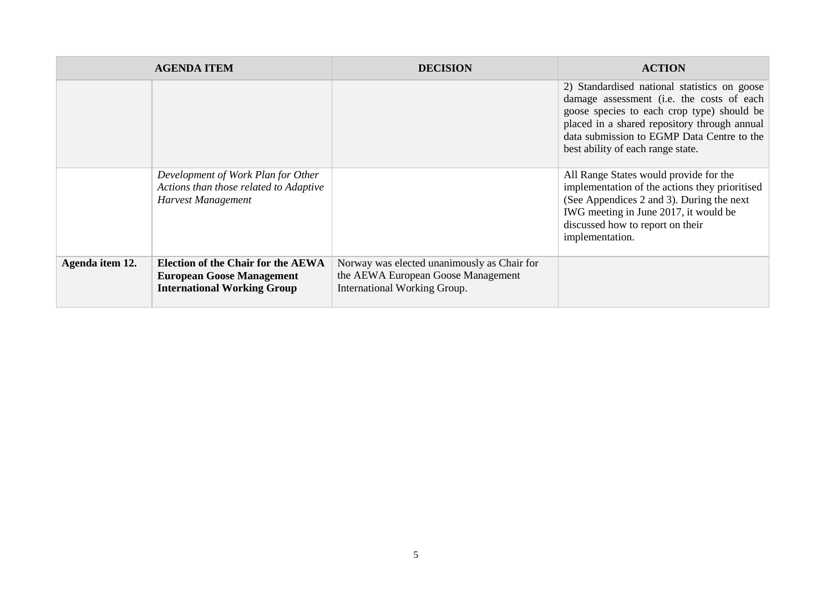|                 | <b>AGENDA ITEM</b>                                                                                                  | <b>DECISION</b>                                                                                                   | <b>ACTION</b>                                                                                                                                                                                                                                                              |
|-----------------|---------------------------------------------------------------------------------------------------------------------|-------------------------------------------------------------------------------------------------------------------|----------------------------------------------------------------------------------------------------------------------------------------------------------------------------------------------------------------------------------------------------------------------------|
|                 |                                                                                                                     |                                                                                                                   | 2) Standardised national statistics on goose<br>damage assessment (i.e. the costs of each<br>goose species to each crop type) should be<br>placed in a shared repository through annual<br>data submission to EGMP Data Centre to the<br>best ability of each range state. |
|                 | Development of Work Plan for Other<br>Actions than those related to Adaptive<br>Harvest Management                  |                                                                                                                   | All Range States would provide for the<br>implementation of the actions they prioritised<br>(See Appendices 2 and 3). During the next<br>IWG meeting in June 2017, it would be<br>discussed how to report on their<br>implementation.                                      |
| Agenda item 12. | <b>Election of the Chair for the AEWA</b><br><b>European Goose Management</b><br><b>International Working Group</b> | Norway was elected unanimously as Chair for<br>the AEWA European Goose Management<br>International Working Group. |                                                                                                                                                                                                                                                                            |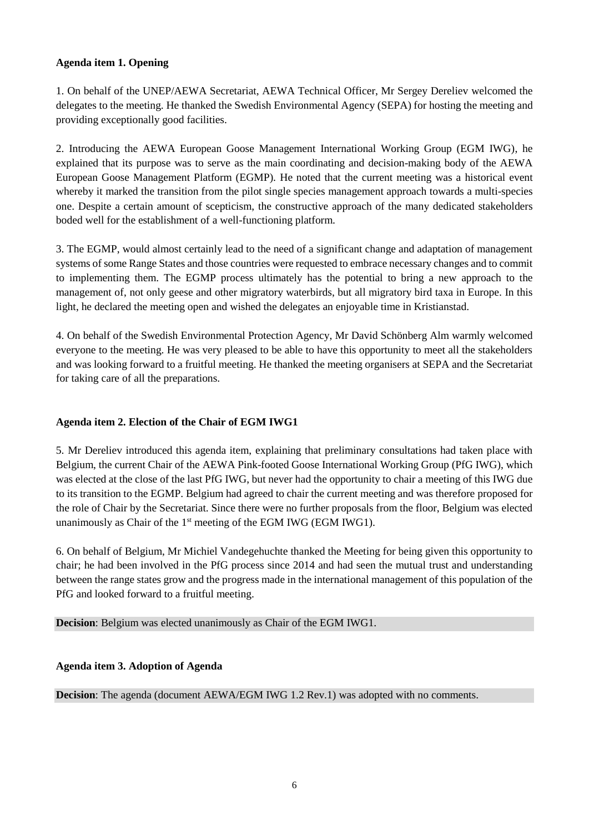## **Agenda item 1. Opening**

1. On behalf of the UNEP/AEWA Secretariat, AEWA Technical Officer, Mr Sergey Dereliev welcomed the delegates to the meeting. He thanked the Swedish Environmental Agency (SEPA) for hosting the meeting and providing exceptionally good facilities.

2. Introducing the AEWA European Goose Management International Working Group (EGM IWG), he explained that its purpose was to serve as the main coordinating and decision-making body of the AEWA European Goose Management Platform (EGMP). He noted that the current meeting was a historical event whereby it marked the transition from the pilot single species management approach towards a multi-species one. Despite a certain amount of scepticism, the constructive approach of the many dedicated stakeholders boded well for the establishment of a well-functioning platform.

3. The EGMP, would almost certainly lead to the need of a significant change and adaptation of management systems of some Range States and those countries were requested to embrace necessary changes and to commit to implementing them. The EGMP process ultimately has the potential to bring a new approach to the management of, not only geese and other migratory waterbirds, but all migratory bird taxa in Europe. In this light, he declared the meeting open and wished the delegates an enjoyable time in Kristianstad.

4. On behalf of the Swedish Environmental Protection Agency, Mr David Schönberg Alm warmly welcomed everyone to the meeting. He was very pleased to be able to have this opportunity to meet all the stakeholders and was looking forward to a fruitful meeting. He thanked the meeting organisers at SEPA and the Secretariat for taking care of all the preparations.

## **Agenda item 2. Election of the Chair of EGM IWG1**

5. Mr Dereliev introduced this agenda item, explaining that preliminary consultations had taken place with Belgium, the current Chair of the AEWA Pink-footed Goose International Working Group (PfG IWG), which was elected at the close of the last PfG IWG, but never had the opportunity to chair a meeting of this IWG due to its transition to the EGMP. Belgium had agreed to chair the current meeting and was therefore proposed for the role of Chair by the Secretariat. Since there were no further proposals from the floor, Belgium was elected unanimously as Chair of the 1<sup>st</sup> meeting of the EGM IWG (EGM IWG1).

6. On behalf of Belgium, Mr Michiel Vandegehuchte thanked the Meeting for being given this opportunity to chair; he had been involved in the PfG process since 2014 and had seen the mutual trust and understanding between the range states grow and the progress made in the international management of this population of the PfG and looked forward to a fruitful meeting.

**Decision**: Belgium was elected unanimously as Chair of the EGM IWG1.

## **Agenda item 3. Adoption of Agenda**

**Decision**: The agenda (document AEWA/EGM IWG 1.2 Rev.1) was adopted with no comments.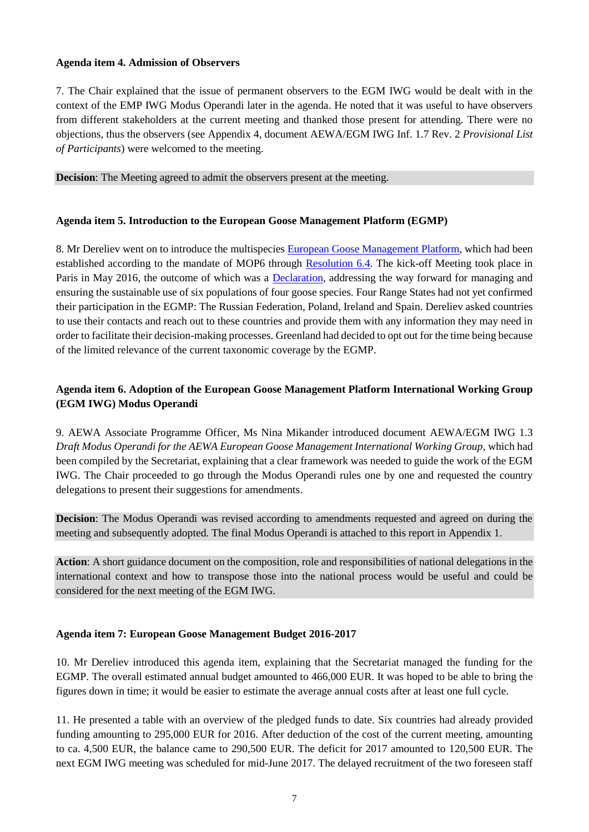### **Agenda item 4. Admission of Observers**

7. The Chair explained that the issue of permanent observers to the EGM IWG would be dealt with in the context of the EMP IWG Modus Operandi later in the agenda. He noted that it was useful to have observers from different stakeholders at the current meeting and thanked those present for attending. There were no objections, thus the observers (see Appendix 4, document AEWA/EGM IWG Inf. 1.7 Rev. 2 *Provisional List of Participants*) were welcomed to the meeting.

**Decision**: The Meeting agreed to admit the observers present at the meeting.

### **Agenda item 5. Introduction to the European Goose Management Platform (EGMP)**

8. Mr Dereliev went on to introduce the multispecie[s European Goose Management Platform,](http://www.unep-aewa.org/sites/default/files/document/aewa_egm_iwg_1_inf_3_aewa_egmp_establishment.pdf) which had been established according to the mandate of MOP6 through [Resolution 6.4.](http://www.unep-aewa.org/sites/default/files/document/aewa_mop6_res4_cons_sust_use_mwb_en.pdf) The kick-off Meeting took place in Paris in May 2016, the outcome of which was a [Declaration,](http://www.unep-aewa.org/sites/default/files/aewa_egmp_paris_may-2016_final_declaration.pdf) addressing the way forward for managing and ensuring the sustainable use of six populations of four goose species. Four Range States had not yet confirmed their participation in the EGMP: The Russian Federation, Poland, Ireland and Spain. Dereliev asked countries to use their contacts and reach out to these countries and provide them with any information they may need in order to facilitate their decision-making processes. Greenland had decided to opt out for the time being because of the limited relevance of the current taxonomic coverage by the EGMP.

## **Agenda item 6. Adoption of the European Goose Management Platform International Working Group (EGM IWG) Modus Operandi**

9. AEWA Associate Programme Officer, Ms Nina Mikander introduced document AEWA/EGM IWG 1.3 *Draft Modus Operandi for the AEWA European Goose Management International Working Group*, which had been compiled by the Secretariat, explaining that a clear framework was needed to guide the work of the EGM IWG. The Chair proceeded to go through the Modus Operandi rules one by one and requested the country delegations to present their suggestions for amendments.

**Decision**: The Modus Operandi was revised according to amendments requested and agreed on during the meeting and subsequently adopted. The final Modus Operandi is attached to this report in Appendix 1.

**Action**: A short guidance document on the composition, role and responsibilities of national delegations in the international context and how to transpose those into the national process would be useful and could be considered for the next meeting of the EGM IWG.

## **Agenda item 7: European Goose Management Budget 2016-2017**

10. Mr Dereliev introduced this agenda item, explaining that the Secretariat managed the funding for the EGMP. The overall estimated annual budget amounted to 466,000 EUR. It was hoped to be able to bring the figures down in time; it would be easier to estimate the average annual costs after at least one full cycle.

11. He presented a table with an overview of the pledged funds to date. Six countries had already provided funding amounting to 295,000 EUR for 2016. After deduction of the cost of the current meeting, amounting to ca. 4,500 EUR, the balance came to 290,500 EUR. The deficit for 2017 amounted to 120,500 EUR. The next EGM IWG meeting was scheduled for mid-June 2017. The delayed recruitment of the two foreseen staff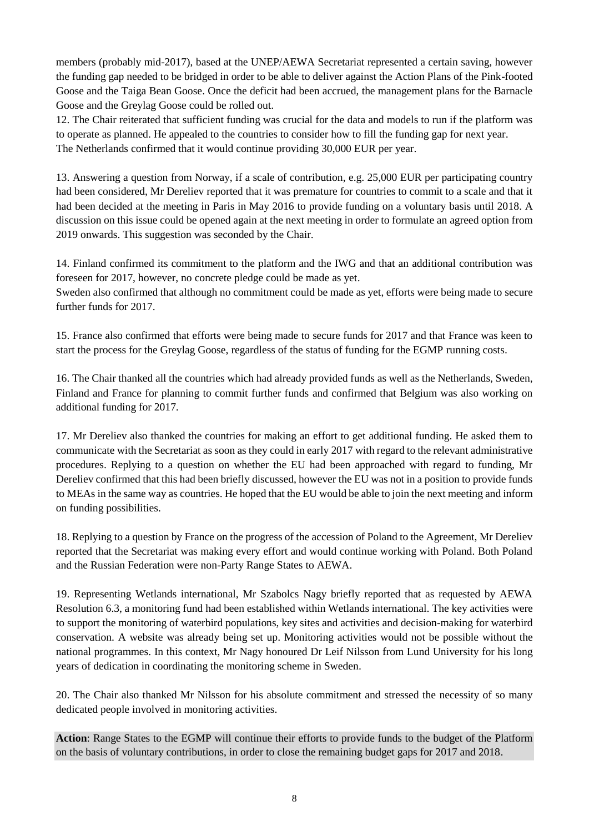members (probably mid-2017), based at the UNEP/AEWA Secretariat represented a certain saving, however the funding gap needed to be bridged in order to be able to deliver against the Action Plans of the Pink-footed Goose and the Taiga Bean Goose. Once the deficit had been accrued, the management plans for the Barnacle Goose and the Greylag Goose could be rolled out.

12. The Chair reiterated that sufficient funding was crucial for the data and models to run if the platform was to operate as planned. He appealed to the countries to consider how to fill the funding gap for next year. The Netherlands confirmed that it would continue providing 30,000 EUR per year.

13. Answering a question from Norway, if a scale of contribution, e.g. 25,000 EUR per participating country had been considered, Mr Dereliev reported that it was premature for countries to commit to a scale and that it had been decided at the meeting in Paris in May 2016 to provide funding on a voluntary basis until 2018. A discussion on this issue could be opened again at the next meeting in order to formulate an agreed option from 2019 onwards. This suggestion was seconded by the Chair.

14. Finland confirmed its commitment to the platform and the IWG and that an additional contribution was foreseen for 2017, however, no concrete pledge could be made as yet.

Sweden also confirmed that although no commitment could be made as yet, efforts were being made to secure further funds for 2017.

15. France also confirmed that efforts were being made to secure funds for 2017 and that France was keen to start the process for the Greylag Goose, regardless of the status of funding for the EGMP running costs.

16. The Chair thanked all the countries which had already provided funds as well as the Netherlands, Sweden, Finland and France for planning to commit further funds and confirmed that Belgium was also working on additional funding for 2017.

17. Mr Dereliev also thanked the countries for making an effort to get additional funding. He asked them to communicate with the Secretariat as soon as they could in early 2017 with regard to the relevant administrative procedures. Replying to a question on whether the EU had been approached with regard to funding, Mr Dereliev confirmed that this had been briefly discussed, however the EU was not in a position to provide funds to MEAs in the same way as countries. He hoped that the EU would be able to join the next meeting and inform on funding possibilities.

18. Replying to a question by France on the progress of the accession of Poland to the Agreement, Mr Dereliev reported that the Secretariat was making every effort and would continue working with Poland. Both Poland and the Russian Federation were non-Party Range States to AEWA.

19. Representing Wetlands international, Mr Szabolcs Nagy briefly reported that as requested by AEWA Resolution 6.3, a monitoring fund had been established within Wetlands international. The key activities were to support the monitoring of waterbird populations, key sites and activities and decision-making for waterbird conservation. A website was already being set up. Monitoring activities would not be possible without the national programmes. In this context, Mr Nagy honoured Dr Leif Nilsson from Lund University for his long years of dedication in coordinating the monitoring scheme in Sweden.

20. The Chair also thanked Mr Nilsson for his absolute commitment and stressed the necessity of so many dedicated people involved in monitoring activities.

**Action**: Range States to the EGMP will continue their efforts to provide funds to the budget of the Platform on the basis of voluntary contributions, in order to close the remaining budget gaps for 2017 and 2018.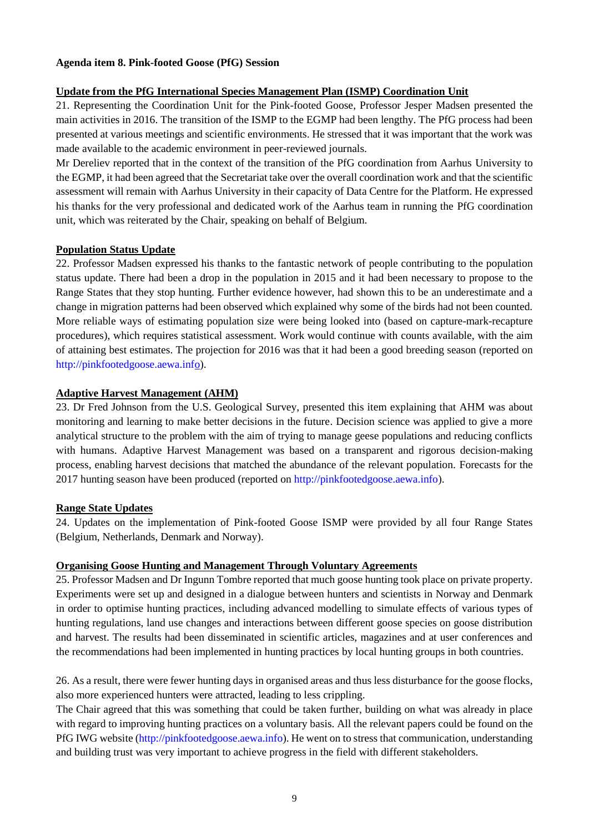### **Agenda item 8. Pink-footed Goose (PfG) Session**

## **Update from the PfG International Species Management Plan (ISMP) Coordination Unit**

21. Representing the Coordination Unit for the Pink-footed Goose, Professor Jesper Madsen presented the main activities in 2016. The transition of the ISMP to the EGMP had been lengthy. The PfG process had been presented at various meetings and scientific environments. He stressed that it was important that the work was made available to the academic environment in peer-reviewed journals.

Mr Dereliev reported that in the context of the transition of the PfG coordination from Aarhus University to the EGMP, it had been agreed that the Secretariat take over the overall coordination work and that the scientific assessment will remain with Aarhus University in their capacity of Data Centre for the Platform. He expressed his thanks for the very professional and dedicated work of the Aarhus team in running the PfG coordination unit, which was reiterated by the Chair, speaking on behalf of Belgium.

### **Population Status Update**

22. Professor Madsen expressed his thanks to the fantastic network of people contributing to the population status update. There had been a drop in the population in 2015 and it had been necessary to propose to the Range States that they stop hunting. Further evidence however, had shown this to be an underestimate and a change in migration patterns had been observed which explained why some of the birds had not been counted. More reliable ways of estimating population size were being looked into (based on capture-mark-recapture procedures), which requires statistical assessment. Work would continue with counts available, with the aim of attaining best estimates. The projection for 2016 was that it had been a good breeding season (reported on [http://pinkfootedgoose.aewa.info\)](http://pinkfootedgoose.aewa.info/).

### **Adaptive Harvest Management (AHM)**

23. Dr Fred Johnson from the U.S. Geological Survey, presented this item explaining that AHM was about monitoring and learning to make better decisions in the future. Decision science was applied to give a more analytical structure to the problem with the aim of trying to manage geese populations and reducing conflicts with humans. Adaptive Harvest Management was based on a transparent and rigorous decision-making process, enabling harvest decisions that matched the abundance of the relevant population. Forecasts for the 2017 hunting season have been produced (reported on [http://pinkfootedgoose.aewa.info\)](http://pinkfootedgoose.aewa.info/).

#### **Range State Updates**

24. Updates on the implementation of Pink-footed Goose ISMP were provided by all four Range States (Belgium, Netherlands, Denmark and Norway).

#### **Organising Goose Hunting and Management Through Voluntary Agreements**

25. Professor Madsen and Dr Ingunn Tombre reported that much goose hunting took place on private property. Experiments were set up and designed in a dialogue between hunters and scientists in Norway and Denmark in order to optimise hunting practices, including advanced modelling to simulate effects of various types of hunting regulations, land use changes and interactions between different goose species on goose distribution and harvest. The results had been disseminated in scientific articles, magazines and at user conferences and the recommendations had been implemented in hunting practices by local hunting groups in both countries.

26. As a result, there were fewer hunting days in organised areas and thus less disturbance for the goose flocks, also more experienced hunters were attracted, leading to less crippling.

The Chair agreed that this was something that could be taken further, building on what was already in place with regard to improving hunting practices on a voluntary basis. All the relevant papers could be found on the PfG IWG website [\(http://pinkfootedgoose.aewa.info\)](http://pinkfootedgoose.aewa.info/). He went on to stress that communication, understanding and building trust was very important to achieve progress in the field with different stakeholders.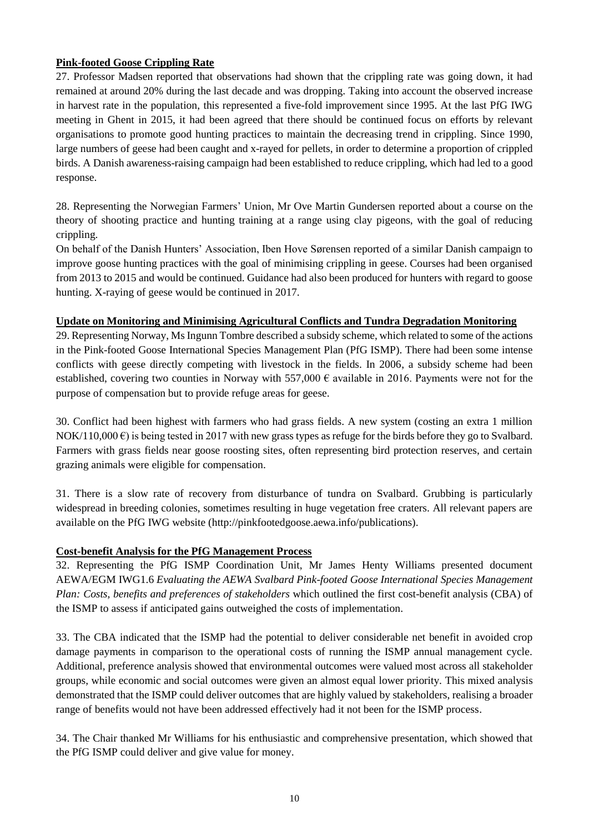## **Pink-footed Goose Crippling Rate**

27. Professor Madsen reported that observations had shown that the crippling rate was going down, it had remained at around 20% during the last decade and was dropping. Taking into account the observed increase in harvest rate in the population, this represented a five-fold improvement since 1995. At the last PfG IWG meeting in Ghent in 2015, it had been agreed that there should be continued focus on efforts by relevant organisations to promote good hunting practices to maintain the decreasing trend in crippling. Since 1990, large numbers of geese had been caught and x-rayed for pellets, in order to determine a proportion of crippled birds. A Danish awareness-raising campaign had been established to reduce crippling, which had led to a good response.

28. Representing the Norwegian Farmers' Union, Mr Ove Martin Gundersen reported about a course on the theory of shooting practice and hunting training at a range using clay pigeons, with the goal of reducing crippling.

On behalf of the Danish Hunters' Association, Iben Hove Sørensen reported of a similar Danish campaign to improve goose hunting practices with the goal of minimising crippling in geese. Courses had been organised from 2013 to 2015 and would be continued. Guidance had also been produced for hunters with regard to goose hunting. X-raying of geese would be continued in 2017.

## **Update on Monitoring and Minimising Agricultural Conflicts and Tundra Degradation Monitoring**

29. Representing Norway, Ms Ingunn Tombre described a subsidy scheme, which related to some of the actions in the Pink-footed Goose International Species Management Plan (PfG ISMP). There had been some intense conflicts with geese directly competing with livestock in the fields. In 2006, a subsidy scheme had been established, covering two counties in Norway with 557,000  $\epsilon$  available in 2016. Payments were not for the purpose of compensation but to provide refuge areas for geese.

30. Conflict had been highest with farmers who had grass fields. A new system (costing an extra 1 million NOK/110,000  $\epsilon$ ) is being tested in 2017 with new grass types as refuge for the birds before they go to Svalbard. Farmers with grass fields near goose roosting sites, often representing bird protection reserves, and certain grazing animals were eligible for compensation.

31. There is a slow rate of recovery from disturbance of tundra on Svalbard. Grubbing is particularly widespread in breeding colonies, sometimes resulting in huge vegetation free craters. All relevant papers are available on the PfG IWG website [\(http://pinkfootedgoose.aewa.info/publications\)](http://pinkfootedgoose.aewa.info/publications).

## **Cost-benefit Analysis for the PfG Management Process**

32. Representing the PfG ISMP Coordination Unit, Mr James Henty Williams presented document AEWA/EGM IWG1.6 *Evaluating the AEWA Svalbard Pink-footed Goose International Species Management Plan: Costs, benefits and preferences of stakeholders* which outlined the first cost-benefit analysis (CBA) of the ISMP to assess if anticipated gains outweighed the costs of implementation.

33. The CBA indicated that the ISMP had the potential to deliver considerable net benefit in avoided crop damage payments in comparison to the operational costs of running the ISMP annual management cycle. Additional, preference analysis showed that environmental outcomes were valued most across all stakeholder groups, while economic and social outcomes were given an almost equal lower priority. This mixed analysis demonstrated that the ISMP could deliver outcomes that are highly valued by stakeholders, realising a broader range of benefits would not have been addressed effectively had it not been for the ISMP process.

34. The Chair thanked Mr Williams for his enthusiastic and comprehensive presentation, which showed that the PfG ISMP could deliver and give value for money.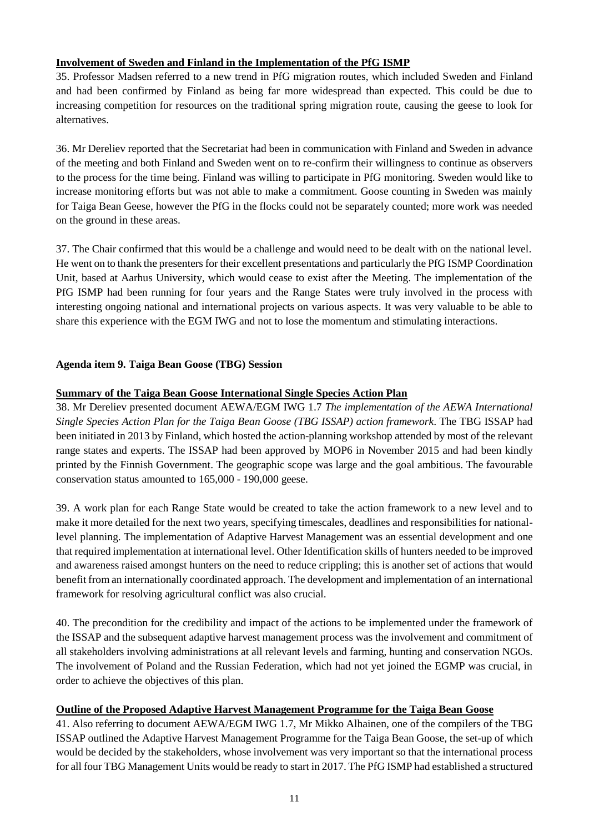## **Involvement of Sweden and Finland in the Implementation of the PfG ISMP**

35. Professor Madsen referred to a new trend in PfG migration routes, which included Sweden and Finland and had been confirmed by Finland as being far more widespread than expected. This could be due to increasing competition for resources on the traditional spring migration route, causing the geese to look for alternatives.

36. Mr Dereliev reported that the Secretariat had been in communication with Finland and Sweden in advance of the meeting and both Finland and Sweden went on to re-confirm their willingness to continue as observers to the process for the time being. Finland was willing to participate in PfG monitoring. Sweden would like to increase monitoring efforts but was not able to make a commitment. Goose counting in Sweden was mainly for Taiga Bean Geese, however the PfG in the flocks could not be separately counted; more work was needed on the ground in these areas.

37. The Chair confirmed that this would be a challenge and would need to be dealt with on the national level. He went on to thank the presenters for their excellent presentations and particularly the PfG ISMP Coordination Unit, based at Aarhus University, which would cease to exist after the Meeting. The implementation of the PfG ISMP had been running for four years and the Range States were truly involved in the process with interesting ongoing national and international projects on various aspects. It was very valuable to be able to share this experience with the EGM IWG and not to lose the momentum and stimulating interactions.

## **Agenda item 9. Taiga Bean Goose (TBG) Session**

## **Summary of the Taiga Bean Goose International Single Species Action Plan**

38. Mr Dereliev presented document AEWA/EGM IWG 1.7 *The implementation of the AEWA International Single Species Action Plan for the Taiga Bean Goose (TBG ISSAP) action framework*. The TBG ISSAP had been initiated in 2013 by Finland, which hosted the action-planning workshop attended by most of the relevant range states and experts. The ISSAP had been approved by MOP6 in November 2015 and had been kindly printed by the Finnish Government. The geographic scope was large and the goal ambitious. The favourable conservation status amounted to 165,000 - 190,000 geese.

39. A work plan for each Range State would be created to take the action framework to a new level and to make it more detailed for the next two years, specifying timescales, deadlines and responsibilities for nationallevel planning. The implementation of Adaptive Harvest Management was an essential development and one that required implementation at international level. Other Identification skills of hunters needed to be improved and awareness raised amongst hunters on the need to reduce crippling; this is another set of actions that would benefit from an internationally coordinated approach. The development and implementation of an international framework for resolving agricultural conflict was also crucial.

40. The precondition for the credibility and impact of the actions to be implemented under the framework of the ISSAP and the subsequent adaptive harvest management process was the involvement and commitment of all stakeholders involving administrations at all relevant levels and farming, hunting and conservation NGOs. The involvement of Poland and the Russian Federation, which had not yet joined the EGMP was crucial, in order to achieve the objectives of this plan.

## **Outline of the Proposed Adaptive Harvest Management Programme for the Taiga Bean Goose**

41. Also referring to document AEWA/EGM IWG 1.7, Mr Mikko Alhainen, one of the compilers of the TBG ISSAP outlined the Adaptive Harvest Management Programme for the Taiga Bean Goose, the set-up of which would be decided by the stakeholders, whose involvement was very important so that the international process for all four TBG Management Units would be ready to start in 2017. The PfG ISMP had established a structured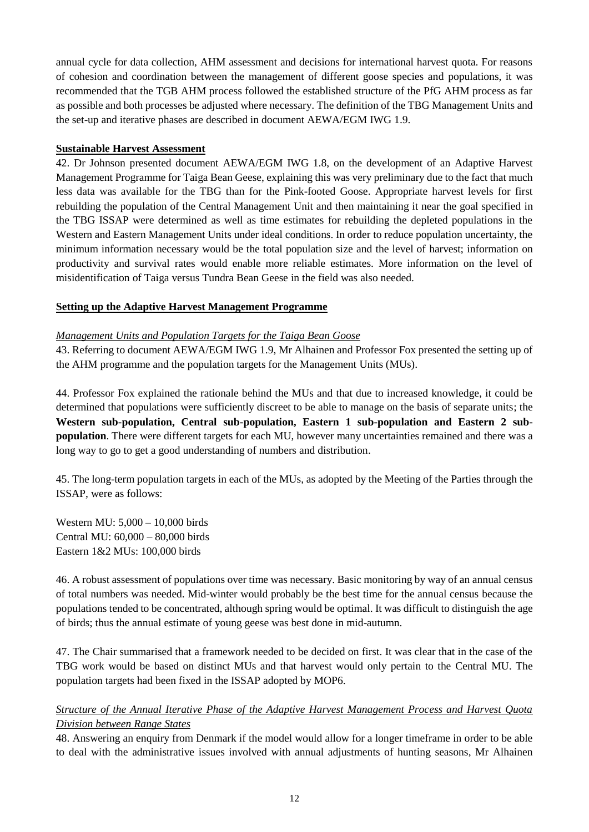annual cycle for data collection, AHM assessment and decisions for international harvest quota. For reasons of cohesion and coordination between the management of different goose species and populations, it was recommended that the TGB AHM process followed the established structure of the PfG AHM process as far as possible and both processes be adjusted where necessary. The definition of the TBG Management Units and the set-up and iterative phases are described in document AEWA/EGM IWG 1.9.

## **Sustainable Harvest Assessment**

42. Dr Johnson presented document AEWA/EGM IWG 1.8, on the development of an Adaptive Harvest Management Programme for Taiga Bean Geese, explaining this was very preliminary due to the fact that much less data was available for the TBG than for the Pink-footed Goose. Appropriate harvest levels for first rebuilding the population of the Central Management Unit and then maintaining it near the goal specified in the TBG ISSAP were determined as well as time estimates for rebuilding the depleted populations in the Western and Eastern Management Units under ideal conditions. In order to reduce population uncertainty, the minimum information necessary would be the total population size and the level of harvest; information on productivity and survival rates would enable more reliable estimates. More information on the level of misidentification of Taiga versus Tundra Bean Geese in the field was also needed.

## **Setting up the Adaptive Harvest Management Programme**

### *Management Units and Population Targets for the Taiga Bean Goose*

43. Referring to document AEWA/EGM IWG 1.9, Mr Alhainen and Professor Fox presented the setting up of the AHM programme and the population targets for the Management Units (MUs).

44. Professor Fox explained the rationale behind the MUs and that due to increased knowledge, it could be determined that populations were sufficiently discreet to be able to manage on the basis of separate units; the **Western sub-population, Central sub-population, Eastern 1 sub-population and Eastern 2 subpopulation**. There were different targets for each MU, however many uncertainties remained and there was a long way to go to get a good understanding of numbers and distribution.

45. The long-term population targets in each of the MUs, as adopted by the Meeting of the Parties through the ISSAP, were as follows:

Western MU: 5,000 – 10,000 birds Central MU: 60,000 – 80,000 birds Eastern 1&2 MUs: 100,000 birds

46. A robust assessment of populations over time was necessary. Basic monitoring by way of an annual census of total numbers was needed. Mid-winter would probably be the best time for the annual census because the populations tended to be concentrated, although spring would be optimal. It was difficult to distinguish the age of birds; thus the annual estimate of young geese was best done in mid-autumn.

47. The Chair summarised that a framework needed to be decided on first. It was clear that in the case of the TBG work would be based on distinct MUs and that harvest would only pertain to the Central MU. The population targets had been fixed in the ISSAP adopted by MOP6.

## *Structure of the Annual Iterative Phase of the Adaptive Harvest Management Process and Harvest Quota Division between Range States*

48. Answering an enquiry from Denmark if the model would allow for a longer timeframe in order to be able to deal with the administrative issues involved with annual adjustments of hunting seasons, Mr Alhainen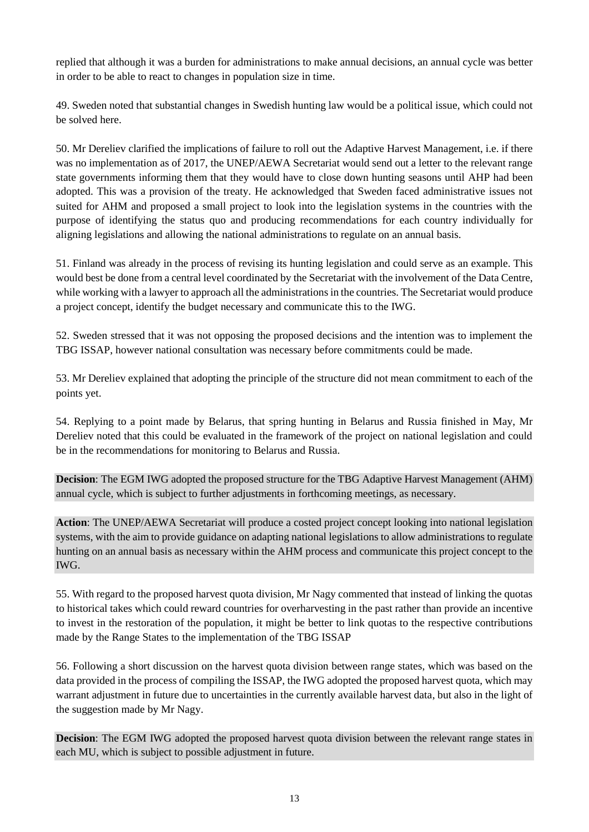replied that although it was a burden for administrations to make annual decisions, an annual cycle was better in order to be able to react to changes in population size in time.

49. Sweden noted that substantial changes in Swedish hunting law would be a political issue, which could not be solved here.

50. Mr Dereliev clarified the implications of failure to roll out the Adaptive Harvest Management, i.e. if there was no implementation as of 2017, the UNEP/AEWA Secretariat would send out a letter to the relevant range state governments informing them that they would have to close down hunting seasons until AHP had been adopted. This was a provision of the treaty. He acknowledged that Sweden faced administrative issues not suited for AHM and proposed a small project to look into the legislation systems in the countries with the purpose of identifying the status quo and producing recommendations for each country individually for aligning legislations and allowing the national administrations to regulate on an annual basis.

51. Finland was already in the process of revising its hunting legislation and could serve as an example. This would best be done from a central level coordinated by the Secretariat with the involvement of the Data Centre, while working with a lawyer to approach all the administrations in the countries. The Secretariat would produce a project concept, identify the budget necessary and communicate this to the IWG.

52. Sweden stressed that it was not opposing the proposed decisions and the intention was to implement the TBG ISSAP, however national consultation was necessary before commitments could be made.

53. Mr Dereliev explained that adopting the principle of the structure did not mean commitment to each of the points yet.

54. Replying to a point made by Belarus, that spring hunting in Belarus and Russia finished in May, Mr Dereliev noted that this could be evaluated in the framework of the project on national legislation and could be in the recommendations for monitoring to Belarus and Russia.

**Decision**: The EGM IWG adopted the proposed structure for the TBG Adaptive Harvest Management (AHM) annual cycle, which is subject to further adjustments in forthcoming meetings, as necessary.

**Action**: The UNEP/AEWA Secretariat will produce a costed project concept looking into national legislation systems, with the aim to provide guidance on adapting national legislations to allow administrations to regulate hunting on an annual basis as necessary within the AHM process and communicate this project concept to the IWG.

55. With regard to the proposed harvest quota division, Mr Nagy commented that instead of linking the quotas to historical takes which could reward countries for overharvesting in the past rather than provide an incentive to invest in the restoration of the population, it might be better to link quotas to the respective contributions made by the Range States to the implementation of the TBG ISSAP

56. Following a short discussion on the harvest quota division between range states, which was based on the data provided in the process of compiling the ISSAP, the IWG adopted the proposed harvest quota, which may warrant adjustment in future due to uncertainties in the currently available harvest data, but also in the light of the suggestion made by Mr Nagy.

**Decision**: The EGM IWG adopted the proposed harvest quota division between the relevant range states in each MU, which is subject to possible adjustment in future.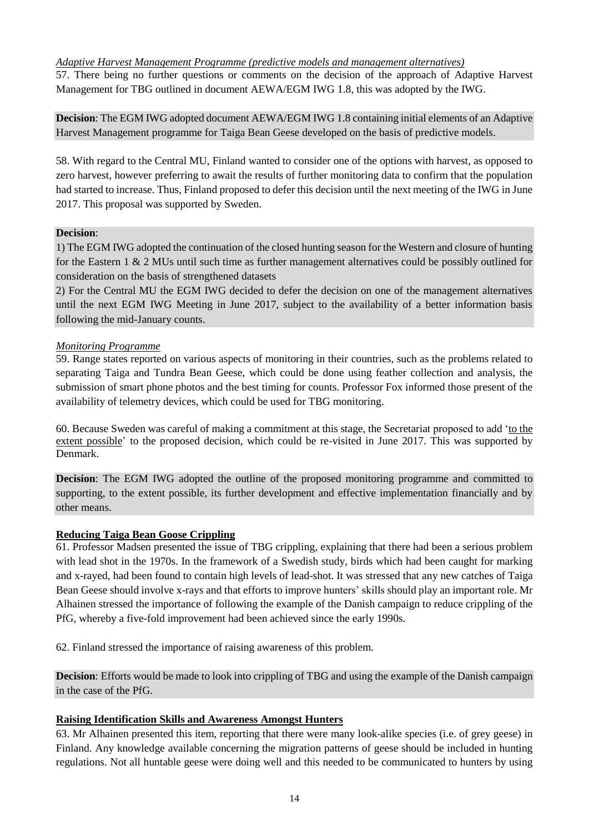*Adaptive Harvest Management Programme (predictive models and management alternatives)* 57. There being no further questions or comments on the decision of the approach of Adaptive Harvest Management for TBG outlined in document AEWA/EGM IWG 1.8, this was adopted by the IWG.

**Decision**: The EGM IWG adopted document AEWA/EGM IWG 1.8 containing initial elements of an Adaptive Harvest Management programme for Taiga Bean Geese developed on the basis of predictive models.

58. With regard to the Central MU, Finland wanted to consider one of the options with harvest, as opposed to zero harvest, however preferring to await the results of further monitoring data to confirm that the population had started to increase. Thus, Finland proposed to defer this decision until the next meeting of the IWG in June 2017. This proposal was supported by Sweden.

## **Decision**:

1) The EGM IWG adopted the continuation of the closed hunting season for the Western and closure of hunting for the Eastern 1 & 2 MUs until such time as further management alternatives could be possibly outlined for consideration on the basis of strengthened datasets

2) For the Central MU the EGM IWG decided to defer the decision on one of the management alternatives until the next EGM IWG Meeting in June 2017, subject to the availability of a better information basis following the mid-January counts.

### *Monitoring Programme*

59. Range states reported on various aspects of monitoring in their countries, such as the problems related to separating Taiga and Tundra Bean Geese, which could be done using feather collection and analysis, the submission of smart phone photos and the best timing for counts. Professor Fox informed those present of the availability of telemetry devices, which could be used for TBG monitoring.

60. Because Sweden was careful of making a commitment at this stage, the Secretariat proposed to add 'to the extent possible' to the proposed decision, which could be re-visited in June 2017. This was supported by Denmark.

**Decision**: The EGM IWG adopted the outline of the proposed monitoring programme and committed to supporting, to the extent possible, its further development and effective implementation financially and by other means.

## **Reducing Taiga Bean Goose Crippling**

61. Professor Madsen presented the issue of TBG crippling, explaining that there had been a serious problem with lead shot in the 1970s. In the framework of a Swedish study, birds which had been caught for marking and x-rayed, had been found to contain high levels of lead-shot. It was stressed that any new catches of Taiga Bean Geese should involve x-rays and that efforts to improve hunters' skills should play an important role. Mr Alhainen stressed the importance of following the example of the Danish campaign to reduce crippling of the PfG, whereby a five-fold improvement had been achieved since the early 1990s.

62. Finland stressed the importance of raising awareness of this problem.

**Decision**: Efforts would be made to look into crippling of TBG and using the example of the Danish campaign in the case of the PfG.

## **Raising Identification Skills and Awareness Amongst Hunters**

63. Mr Alhainen presented this item, reporting that there were many look-alike species (i.e. of grey geese) in Finland. Any knowledge available concerning the migration patterns of geese should be included in hunting regulations. Not all huntable geese were doing well and this needed to be communicated to hunters by using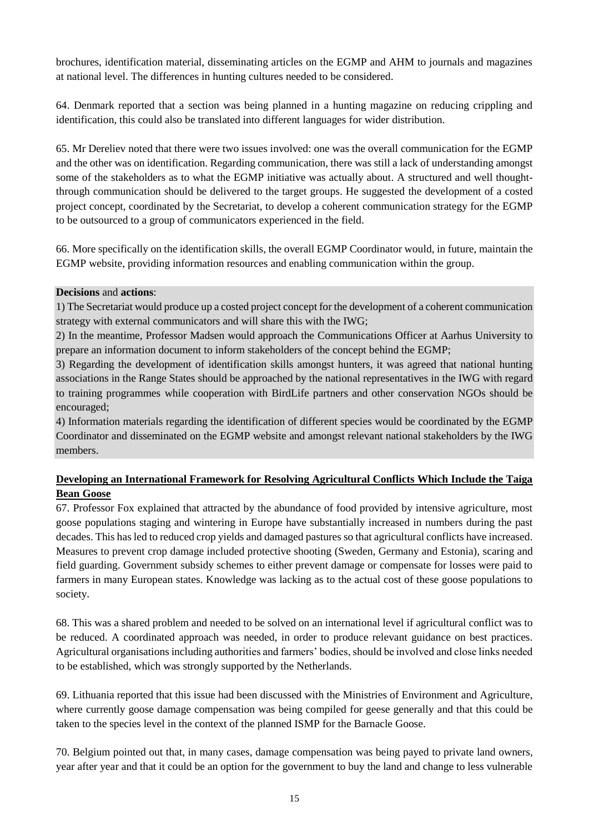brochures, identification material, disseminating articles on the EGMP and AHM to journals and magazines at national level. The differences in hunting cultures needed to be considered.

64. Denmark reported that a section was being planned in a hunting magazine on reducing crippling and identification, this could also be translated into different languages for wider distribution.

65. Mr Dereliev noted that there were two issues involved: one was the overall communication for the EGMP and the other was on identification. Regarding communication, there was still a lack of understanding amongst some of the stakeholders as to what the EGMP initiative was actually about. A structured and well thoughtthrough communication should be delivered to the target groups. He suggested the development of a costed project concept, coordinated by the Secretariat, to develop a coherent communication strategy for the EGMP to be outsourced to a group of communicators experienced in the field.

66. More specifically on the identification skills, the overall EGMP Coordinator would, in future, maintain the EGMP website, providing information resources and enabling communication within the group.

### **Decisions** and **actions**:

1) The Secretariat would produce up a costed project concept for the development of a coherent communication strategy with external communicators and will share this with the IWG;

2) In the meantime, Professor Madsen would approach the Communications Officer at Aarhus University to prepare an information document to inform stakeholders of the concept behind the EGMP;

3) Regarding the development of identification skills amongst hunters, it was agreed that national hunting associations in the Range States should be approached by the national representatives in the IWG with regard to training programmes while cooperation with BirdLife partners and other conservation NGOs should be encouraged;

4) Information materials regarding the identification of different species would be coordinated by the EGMP Coordinator and disseminated on the EGMP website and amongst relevant national stakeholders by the IWG members.

## **Developing an International Framework for Resolving Agricultural Conflicts Which Include the Taiga Bean Goose**

67. Professor Fox explained that attracted by the abundance of food provided by intensive agriculture, most goose populations staging and wintering in Europe have substantially increased in numbers during the past decades. This has led to reduced crop yields and damaged pastures so that agricultural conflicts have increased. Measures to prevent crop damage included protective shooting (Sweden, Germany and Estonia), scaring and field guarding. Government subsidy schemes to either prevent damage or compensate for losses were paid to farmers in many European states. Knowledge was lacking as to the actual cost of these goose populations to society.

68. This was a shared problem and needed to be solved on an international level if agricultural conflict was to be reduced. A coordinated approach was needed, in order to produce relevant guidance on best practices. Agricultural organisations including authorities and farmers' bodies, should be involved and close links needed to be established, which was strongly supported by the Netherlands.

69. Lithuania reported that this issue had been discussed with the Ministries of Environment and Agriculture, where currently goose damage compensation was being compiled for geese generally and that this could be taken to the species level in the context of the planned ISMP for the Barnacle Goose.

70. Belgium pointed out that, in many cases, damage compensation was being payed to private land owners, year after year and that it could be an option for the government to buy the land and change to less vulnerable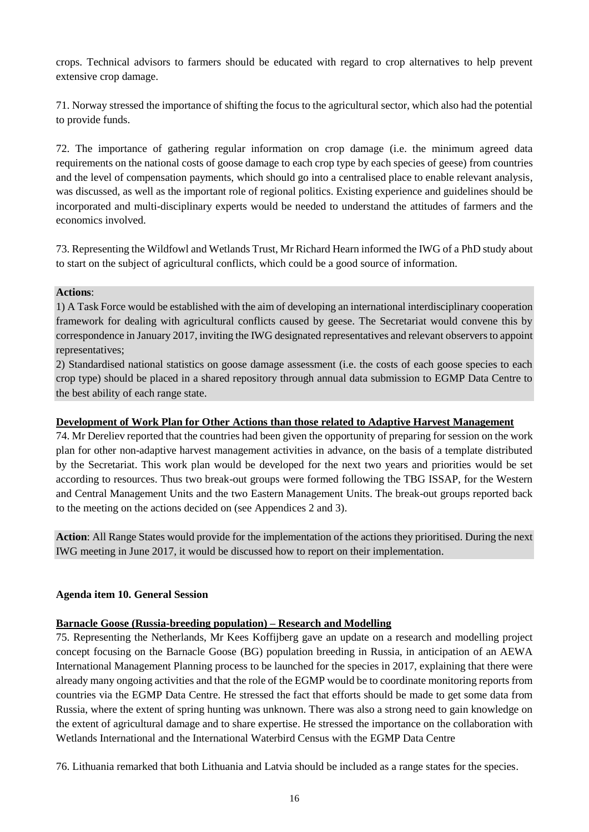crops. Technical advisors to farmers should be educated with regard to crop alternatives to help prevent extensive crop damage.

71. Norway stressed the importance of shifting the focus to the agricultural sector, which also had the potential to provide funds.

72. The importance of gathering regular information on crop damage (i.e. the minimum agreed data requirements on the national costs of goose damage to each crop type by each species of geese) from countries and the level of compensation payments, which should go into a centralised place to enable relevant analysis, was discussed, as well as the important role of regional politics. Existing experience and guidelines should be incorporated and multi-disciplinary experts would be needed to understand the attitudes of farmers and the economics involved.

73. Representing the Wildfowl and Wetlands Trust, Mr Richard Hearn informed the IWG of a PhD study about to start on the subject of agricultural conflicts, which could be a good source of information.

## **Actions**:

1) A Task Force would be established with the aim of developing an international interdisciplinary cooperation framework for dealing with agricultural conflicts caused by geese. The Secretariat would convene this by correspondence in January 2017, inviting the IWG designated representatives and relevant observers to appoint representatives;

2) Standardised national statistics on goose damage assessment (i.e. the costs of each goose species to each crop type) should be placed in a shared repository through annual data submission to EGMP Data Centre to the best ability of each range state.

## **Development of Work Plan for Other Actions than those related to Adaptive Harvest Management**

74. Mr Dereliev reported that the countries had been given the opportunity of preparing for session on the work plan for other non-adaptive harvest management activities in advance, on the basis of a template distributed by the Secretariat. This work plan would be developed for the next two years and priorities would be set according to resources. Thus two break-out groups were formed following the TBG ISSAP, for the Western and Central Management Units and the two Eastern Management Units. The break-out groups reported back to the meeting on the actions decided on (see Appendices 2 and 3).

**Action**: All Range States would provide for the implementation of the actions they prioritised. During the next IWG meeting in June 2017, it would be discussed how to report on their implementation.

## **Agenda item 10. General Session**

## **Barnacle Goose (Russia-breeding population) – Research and Modelling**

75. Representing the Netherlands, Mr Kees Koffijberg gave an update on a research and modelling project concept focusing on the Barnacle Goose (BG) population breeding in Russia, in anticipation of an AEWA International Management Planning process to be launched for the species in 2017, explaining that there were already many ongoing activities and that the role of the EGMP would be to coordinate monitoring reports from countries via the EGMP Data Centre. He stressed the fact that efforts should be made to get some data from Russia, where the extent of spring hunting was unknown. There was also a strong need to gain knowledge on the extent of agricultural damage and to share expertise. He stressed the importance on the collaboration with Wetlands International and the International Waterbird Census with the EGMP Data Centre

76. Lithuania remarked that both Lithuania and Latvia should be included as a range states for the species.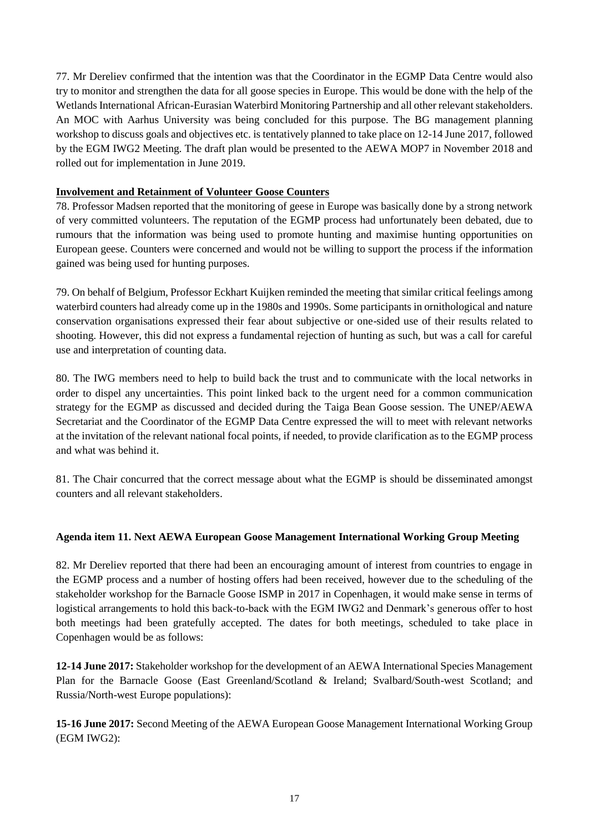77. Mr Dereliev confirmed that the intention was that the Coordinator in the EGMP Data Centre would also try to monitor and strengthen the data for all goose species in Europe. This would be done with the help of the Wetlands International African-Eurasian Waterbird Monitoring Partnership and all other relevant stakeholders. An MOC with Aarhus University was being concluded for this purpose. The BG management planning workshop to discuss goals and objectives etc. is tentatively planned to take place on 12-14 June 2017, followed by the EGM IWG2 Meeting. The draft plan would be presented to the AEWA MOP7 in November 2018 and rolled out for implementation in June 2019.

## **Involvement and Retainment of Volunteer Goose Counters**

78. Professor Madsen reported that the monitoring of geese in Europe was basically done by a strong network of very committed volunteers. The reputation of the EGMP process had unfortunately been debated, due to rumours that the information was being used to promote hunting and maximise hunting opportunities on European geese. Counters were concerned and would not be willing to support the process if the information gained was being used for hunting purposes.

79. On behalf of Belgium, Professor Eckhart Kuijken reminded the meeting that similar critical feelings among waterbird counters had already come up in the 1980s and 1990s. Some participants in ornithological and nature conservation organisations expressed their fear about subjective or one-sided use of their results related to shooting. However, this did not express a fundamental rejection of hunting as such, but was a call for careful use and interpretation of counting data.

80. The IWG members need to help to build back the trust and to communicate with the local networks in order to dispel any uncertainties. This point linked back to the urgent need for a common communication strategy for the EGMP as discussed and decided during the Taiga Bean Goose session. The UNEP/AEWA Secretariat and the Coordinator of the EGMP Data Centre expressed the will to meet with relevant networks at the invitation of the relevant national focal points, if needed, to provide clarification as to the EGMP process and what was behind it.

81. The Chair concurred that the correct message about what the EGMP is should be disseminated amongst counters and all relevant stakeholders.

## **Agenda item 11. Next AEWA European Goose Management International Working Group Meeting**

82. Mr Dereliev reported that there had been an encouraging amount of interest from countries to engage in the EGMP process and a number of hosting offers had been received, however due to the scheduling of the stakeholder workshop for the Barnacle Goose ISMP in 2017 in Copenhagen, it would make sense in terms of logistical arrangements to hold this back-to-back with the EGM IWG2 and Denmark's generous offer to host both meetings had been gratefully accepted. The dates for both meetings, scheduled to take place in Copenhagen would be as follows:

**12-14 June 2017:** Stakeholder workshop for the development of an AEWA International Species Management Plan for the Barnacle Goose (East Greenland/Scotland & Ireland; Svalbard/South-west Scotland; and Russia/North-west Europe populations):

**15-16 June 2017:** Second Meeting of the AEWA European Goose Management International Working Group (EGM IWG2):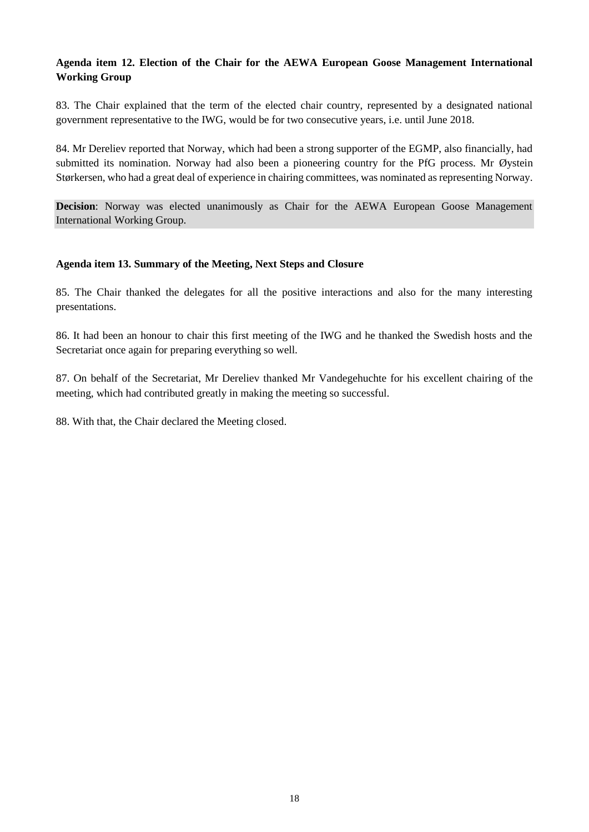## **Agenda item 12. Election of the Chair for the AEWA European Goose Management International Working Group**

83. The Chair explained that the term of the elected chair country, represented by a designated national government representative to the IWG, would be for two consecutive years, i.e. until June 2018.

84. Mr Dereliev reported that Norway, which had been a strong supporter of the EGMP, also financially, had submitted its nomination. Norway had also been a pioneering country for the PfG process. Mr Øystein Størkersen, who had a great deal of experience in chairing committees, was nominated as representing Norway.

**Decision**: Norway was elected unanimously as Chair for the AEWA European Goose Management International Working Group.

### **Agenda item 13. Summary of the Meeting, Next Steps and Closure**

85. The Chair thanked the delegates for all the positive interactions and also for the many interesting presentations.

86. It had been an honour to chair this first meeting of the IWG and he thanked the Swedish hosts and the Secretariat once again for preparing everything so well.

87. On behalf of the Secretariat, Mr Dereliev thanked Mr Vandegehuchte for his excellent chairing of the meeting, which had contributed greatly in making the meeting so successful.

88. With that, the Chair declared the Meeting closed.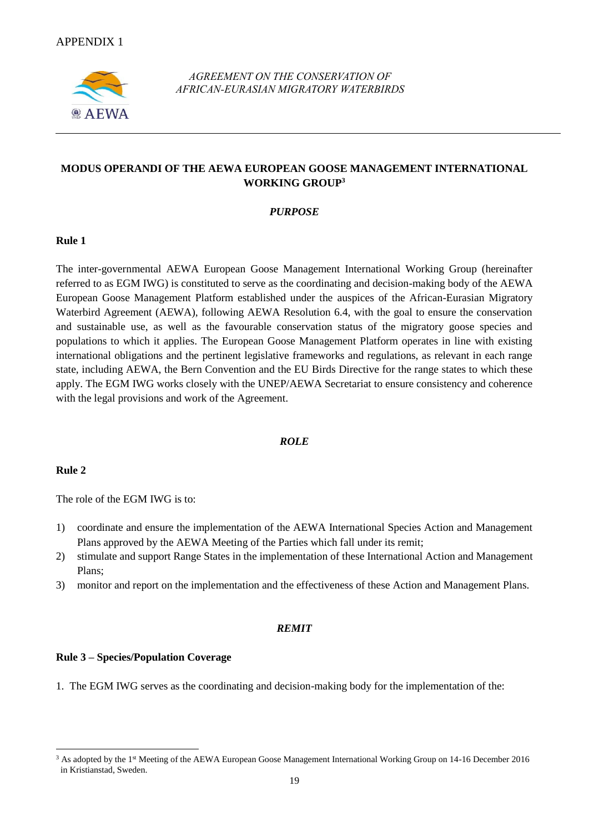

*AGREEMENT ON THE CONSERVATION OF AFRICAN-EURASIAN MIGRATORY WATERBIRDS* 

## **MODUS OPERANDI OF THE AEWA EUROPEAN GOOSE MANAGEMENT INTERNATIONAL WORKING GROUP<sup>3</sup>**

#### *PURPOSE*

#### **Rule 1**

The inter-governmental AEWA European Goose Management International Working Group (hereinafter referred to as EGM IWG) is constituted to serve as the coordinating and decision-making body of the AEWA European Goose Management Platform established under the auspices of the African-Eurasian Migratory Waterbird Agreement (AEWA), following AEWA Resolution 6.4, with the goal to ensure the conservation and sustainable use, as well as the favourable conservation status of the migratory goose species and populations to which it applies. The European Goose Management Platform operates in line with existing international obligations and the pertinent legislative frameworks and regulations, as relevant in each range state, including AEWA, the Bern Convention and the EU Birds Directive for the range states to which these apply. The EGM IWG works closely with the UNEP/AEWA Secretariat to ensure consistency and coherence with the legal provisions and work of the Agreement.

#### *ROLE*

#### **Rule 2**

1

The role of the EGM IWG is to:

- 1) coordinate and ensure the implementation of the AEWA International Species Action and Management Plans approved by the AEWA Meeting of the Parties which fall under its remit;
- 2) stimulate and support Range States in the implementation of these International Action and Management Plans;
- 3) monitor and report on the implementation and the effectiveness of these Action and Management Plans.

#### *REMIT*

#### **Rule 3 – Species/Population Coverage**

1. The EGM IWG serves as the coordinating and decision-making body for the implementation of the:

<sup>&</sup>lt;sup>3</sup> As adopted by the 1<sup>st</sup> Meeting of the AEWA European Goose Management International Working Group on 14-16 December 2016 in Kristianstad, Sweden.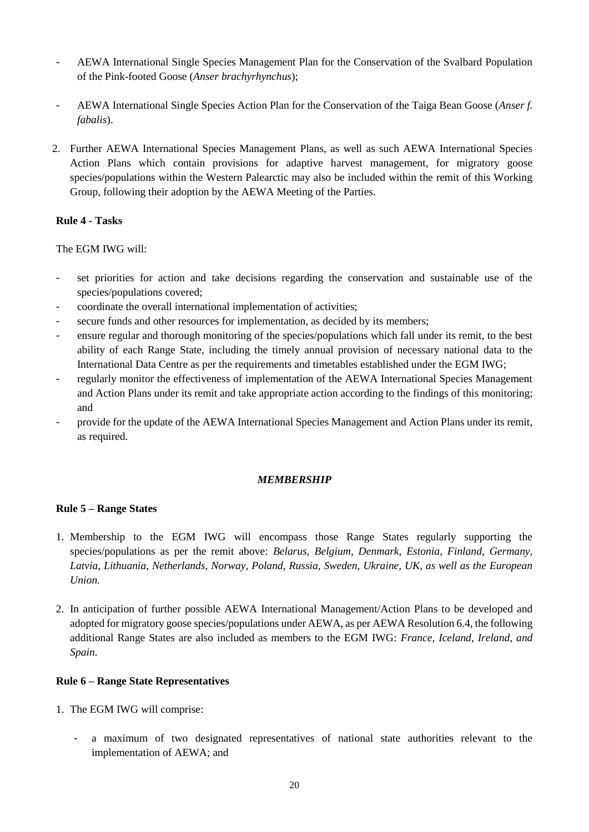- AEWA International Single Species Management Plan for the Conservation of the Svalbard Population of the Pink-footed Goose (*Anser brachyrhynchus*);
- AEWA International Single Species Action Plan for the Conservation of the Taiga Bean Goose (*Anser f. fabalis*).
- 2. Further AEWA International Species Management Plans, as well as such AEWA International Species Action Plans which contain provisions for adaptive harvest management, for migratory goose species/populations within the Western Palearctic may also be included within the remit of this Working Group, following their adoption by the AEWA Meeting of the Parties.

## **Rule 4 - Tasks**

The EGM IWG will:

- set priorities for action and take decisions regarding the conservation and sustainable use of the species/populations covered;
- coordinate the overall international implementation of activities;
- secure funds and other resources for implementation, as decided by its members;
- ensure regular and thorough monitoring of the species/populations which fall under its remit, to the best ability of each Range State, including the timely annual provision of necessary national data to the International Data Centre as per the requirements and timetables established under the EGM IWG;
- regularly monitor the effectiveness of implementation of the AEWA International Species Management and Action Plans under its remit and take appropriate action according to the findings of this monitoring; and
- provide for the update of the AEWA International Species Management and Action Plans under its remit, as required.

## *MEMBERSHIP*

## **Rule 5 – Range States**

- 1. Membership to the EGM IWG will encompass those Range States regularly supporting the species/populations as per the remit above: *Belarus, Belgium, Denmark, Estonia, Finland, Germany, Latvia, Lithuania, Netherlands, Norway, Poland, Russia, Sweden, Ukraine, UK, as well as the European Union.*
- 2. In anticipation of further possible AEWA International Management/Action Plans to be developed and adopted for migratory goose species/populations under AEWA, as per AEWA Resolution 6.4, the following additional Range States are also included as members to the EGM IWG: *France, Iceland, Ireland, and Spain.*

## **Rule 6 – Range State Representatives**

- 1. The EGM IWG will comprise:
	- a maximum of two designated representatives of national state authorities relevant to the implementation of AEWA; and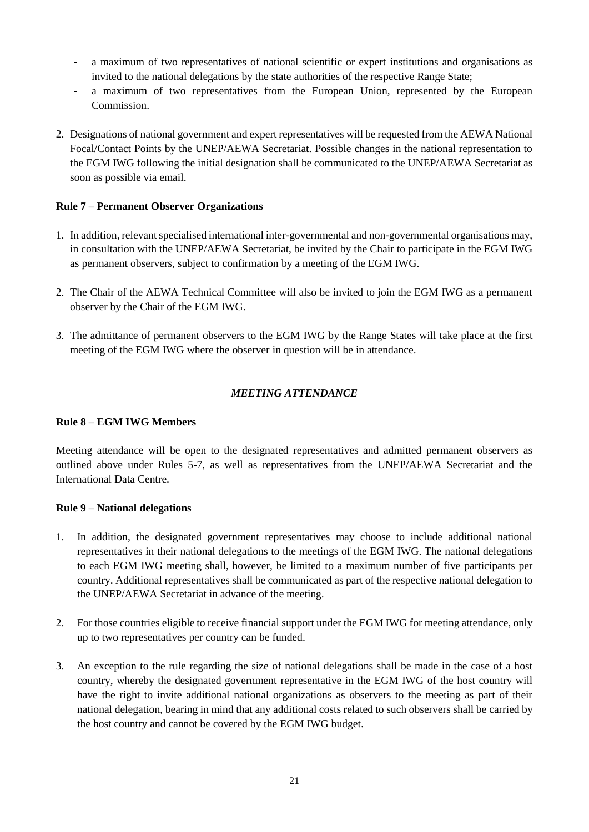- a maximum of two representatives of national scientific or expert institutions and organisations as invited to the national delegations by the state authorities of the respective Range State;
- a maximum of two representatives from the European Union, represented by the European Commission.
- 2. Designations of national government and expert representatives will be requested from the AEWA National Focal/Contact Points by the UNEP/AEWA Secretariat. Possible changes in the national representation to the EGM IWG following the initial designation shall be communicated to the UNEP/AEWA Secretariat as soon as possible via email.

## **Rule 7 – Permanent Observer Organizations**

- 1. In addition, relevant specialised international inter-governmental and non-governmental organisations may, in consultation with the UNEP/AEWA Secretariat, be invited by the Chair to participate in the EGM IWG as permanent observers, subject to confirmation by a meeting of the EGM IWG.
- 2. The Chair of the AEWA Technical Committee will also be invited to join the EGM IWG as a permanent observer by the Chair of the EGM IWG.
- 3. The admittance of permanent observers to the EGM IWG by the Range States will take place at the first meeting of the EGM IWG where the observer in question will be in attendance.

## *MEETING ATTENDANCE*

#### **Rule 8 – EGM IWG Members**

Meeting attendance will be open to the designated representatives and admitted permanent observers as outlined above under Rules 5-7, as well as representatives from the UNEP/AEWA Secretariat and the International Data Centre.

#### **Rule 9 – National delegations**

- 1. In addition, the designated government representatives may choose to include additional national representatives in their national delegations to the meetings of the EGM IWG. The national delegations to each EGM IWG meeting shall, however, be limited to a maximum number of five participants per country. Additional representatives shall be communicated as part of the respective national delegation to the UNEP/AEWA Secretariat in advance of the meeting.
- 2. For those countries eligible to receive financial support under the EGM IWG for meeting attendance, only up to two representatives per country can be funded.
- 3. An exception to the rule regarding the size of national delegations shall be made in the case of a host country, whereby the designated government representative in the EGM IWG of the host country will have the right to invite additional national organizations as observers to the meeting as part of their national delegation, bearing in mind that any additional costs related to such observers shall be carried by the host country and cannot be covered by the EGM IWG budget.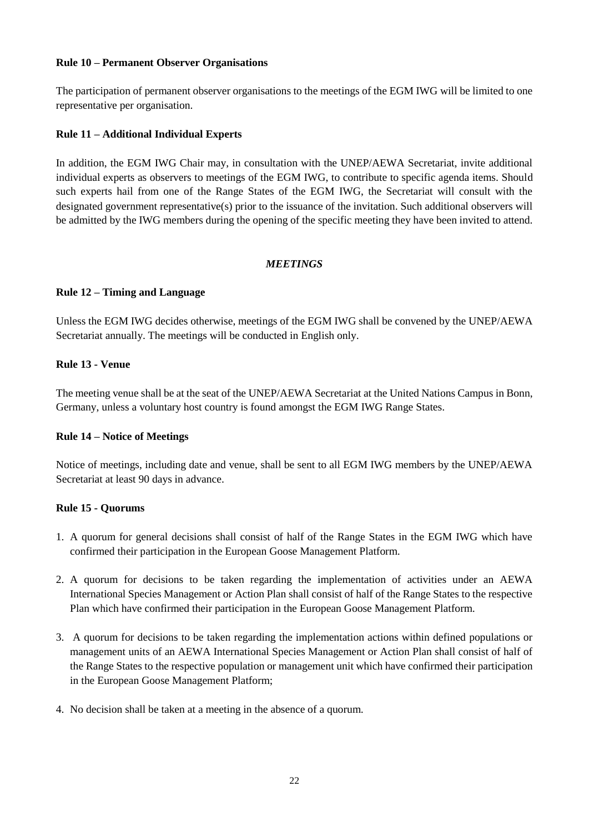#### **Rule 10 – Permanent Observer Organisations**

The participation of permanent observer organisations to the meetings of the EGM IWG will be limited to one representative per organisation.

## **Rule 11 – Additional Individual Experts**

In addition, the EGM IWG Chair may, in consultation with the UNEP/AEWA Secretariat, invite additional individual experts as observers to meetings of the EGM IWG, to contribute to specific agenda items. Should such experts hail from one of the Range States of the EGM IWG, the Secretariat will consult with the designated government representative(s) prior to the issuance of the invitation. Such additional observers will be admitted by the IWG members during the opening of the specific meeting they have been invited to attend.

### *MEETINGS*

### **Rule 12 – Timing and Language**

Unless the EGM IWG decides otherwise, meetings of the EGM IWG shall be convened by the UNEP/AEWA Secretariat annually. The meetings will be conducted in English only.

### **Rule 13 - Venue**

The meeting venue shall be at the seat of the UNEP/AEWA Secretariat at the United Nations Campus in Bonn, Germany, unless a voluntary host country is found amongst the EGM IWG Range States.

#### **Rule 14 – Notice of Meetings**

Notice of meetings, including date and venue, shall be sent to all EGM IWG members by the UNEP/AEWA Secretariat at least 90 days in advance.

## **Rule 15 - Quorums**

- 1. A quorum for general decisions shall consist of half of the Range States in the EGM IWG which have confirmed their participation in the European Goose Management Platform.
- 2. A quorum for decisions to be taken regarding the implementation of activities under an AEWA International Species Management or Action Plan shall consist of half of the Range States to the respective Plan which have confirmed their participation in the European Goose Management Platform.
- 3. A quorum for decisions to be taken regarding the implementation actions within defined populations or management units of an AEWA International Species Management or Action Plan shall consist of half of the Range States to the respective population or management unit which have confirmed their participation in the European Goose Management Platform;
- 4. No decision shall be taken at a meeting in the absence of a quorum.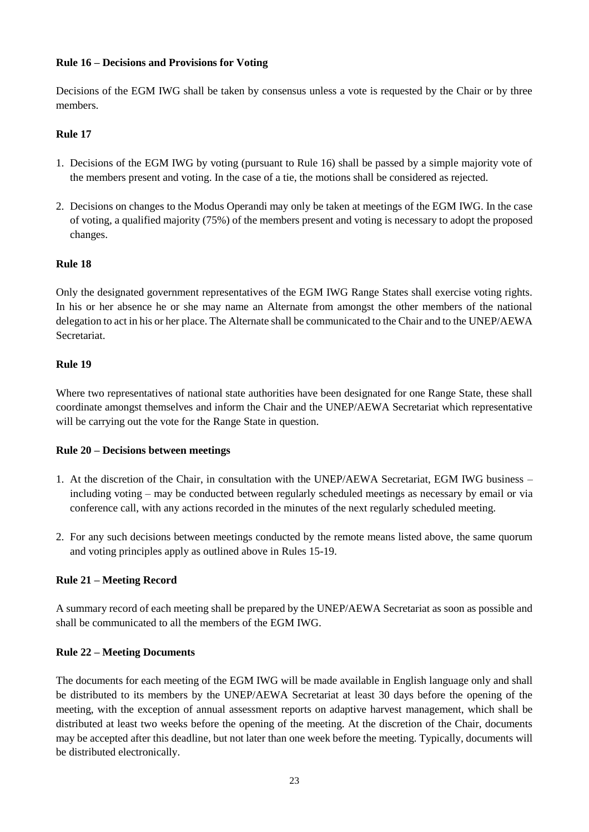### **Rule 16 – Decisions and Provisions for Voting**

Decisions of the EGM IWG shall be taken by consensus unless a vote is requested by the Chair or by three members.

## **Rule 17**

- 1. Decisions of the EGM IWG by voting (pursuant to Rule 16) shall be passed by a simple majority vote of the members present and voting. In the case of a tie, the motions shall be considered as rejected.
- 2. Decisions on changes to the Modus Operandi may only be taken at meetings of the EGM IWG. In the case of voting, a qualified majority (75%) of the members present and voting is necessary to adopt the proposed changes.

### **Rule 18**

Only the designated government representatives of the EGM IWG Range States shall exercise voting rights. In his or her absence he or she may name an Alternate from amongst the other members of the national delegation to act in his or her place. The Alternate shall be communicated to the Chair and to the UNEP/AEWA Secretariat.

### **Rule 19**

Where two representatives of national state authorities have been designated for one Range State, these shall coordinate amongst themselves and inform the Chair and the UNEP/AEWA Secretariat which representative will be carrying out the vote for the Range State in question.

#### **Rule 20 – Decisions between meetings**

- 1. At the discretion of the Chair, in consultation with the UNEP/AEWA Secretariat, EGM IWG business including voting – may be conducted between regularly scheduled meetings as necessary by email or via conference call, with any actions recorded in the minutes of the next regularly scheduled meeting.
- 2. For any such decisions between meetings conducted by the remote means listed above, the same quorum and voting principles apply as outlined above in Rules 15-19.

## **Rule 21 – Meeting Record**

A summary record of each meeting shall be prepared by the UNEP/AEWA Secretariat as soon as possible and shall be communicated to all the members of the EGM IWG.

#### **Rule 22 – Meeting Documents**

The documents for each meeting of the EGM IWG will be made available in English language only and shall be distributed to its members by the UNEP/AEWA Secretariat at least 30 days before the opening of the meeting, with the exception of annual assessment reports on adaptive harvest management, which shall be distributed at least two weeks before the opening of the meeting. At the discretion of the Chair, documents may be accepted after this deadline, but not later than one week before the meeting. Typically, documents will be distributed electronically.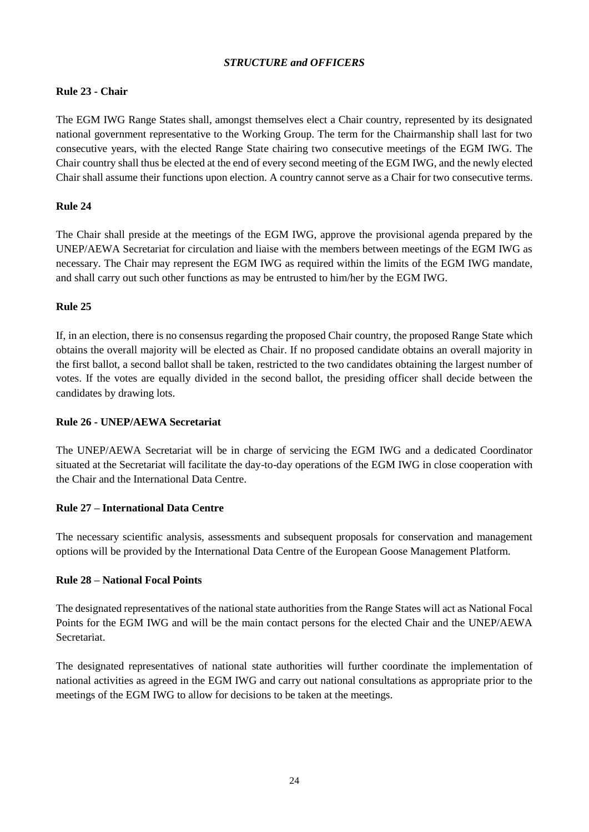## *STRUCTURE and OFFICERS*

## **Rule 23 - Chair**

The EGM IWG Range States shall, amongst themselves elect a Chair country, represented by its designated national government representative to the Working Group. The term for the Chairmanship shall last for two consecutive years, with the elected Range State chairing two consecutive meetings of the EGM IWG. The Chair country shall thus be elected at the end of every second meeting of the EGM IWG, and the newly elected Chair shall assume their functions upon election. A country cannot serve as a Chair for two consecutive terms.

## **Rule 24**

The Chair shall preside at the meetings of the EGM IWG, approve the provisional agenda prepared by the UNEP/AEWA Secretariat for circulation and liaise with the members between meetings of the EGM IWG as necessary. The Chair may represent the EGM IWG as required within the limits of the EGM IWG mandate, and shall carry out such other functions as may be entrusted to him/her by the EGM IWG.

### **Rule 25**

If, in an election, there is no consensus regarding the proposed Chair country, the proposed Range State which obtains the overall majority will be elected as Chair. If no proposed candidate obtains an overall majority in the first ballot, a second ballot shall be taken, restricted to the two candidates obtaining the largest number of votes. If the votes are equally divided in the second ballot, the presiding officer shall decide between the candidates by drawing lots.

#### **Rule 26 - UNEP/AEWA Secretariat**

The UNEP/AEWA Secretariat will be in charge of servicing the EGM IWG and a dedicated Coordinator situated at the Secretariat will facilitate the day-to-day operations of the EGM IWG in close cooperation with the Chair and the International Data Centre.

#### **Rule 27 – International Data Centre**

The necessary scientific analysis, assessments and subsequent proposals for conservation and management options will be provided by the International Data Centre of the European Goose Management Platform.

#### **Rule 28 – National Focal Points**

The designated representatives of the national state authorities from the Range States will act as National Focal Points for the EGM IWG and will be the main contact persons for the elected Chair and the UNEP/AEWA Secretariat.

The designated representatives of national state authorities will further coordinate the implementation of national activities as agreed in the EGM IWG and carry out national consultations as appropriate prior to the meetings of the EGM IWG to allow for decisions to be taken at the meetings.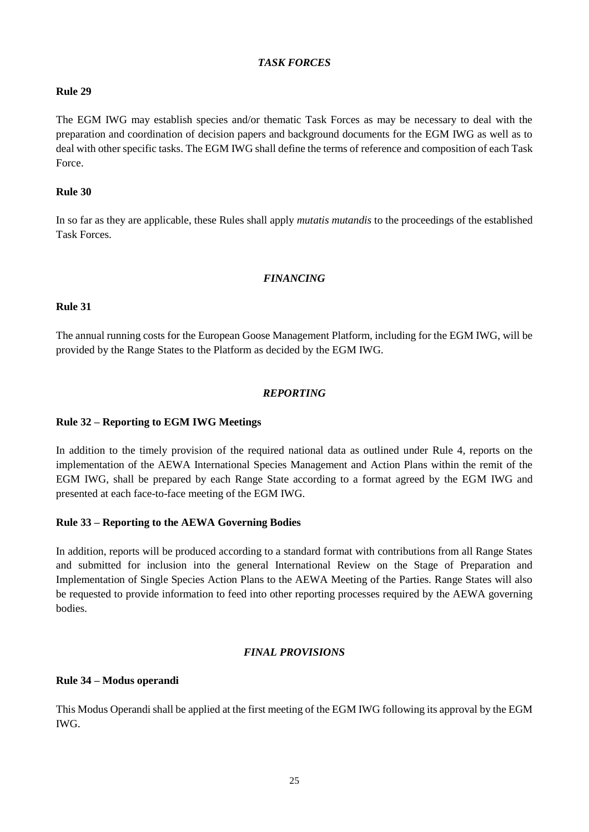### *TASK FORCES*

#### **Rule 29**

The EGM IWG may establish species and/or thematic Task Forces as may be necessary to deal with the preparation and coordination of decision papers and background documents for the EGM IWG as well as to deal with other specific tasks. The EGM IWG shall define the terms of reference and composition of each Task Force.

### **Rule 30**

In so far as they are applicable, these Rules shall apply *mutatis mutandis* to the proceedings of the established Task Forces.

### *FINANCING*

### **Rule 31**

The annual running costs for the European Goose Management Platform, including for the EGM IWG, will be provided by the Range States to the Platform as decided by the EGM IWG.

## *REPORTING*

## **Rule 32 – Reporting to EGM IWG Meetings**

In addition to the timely provision of the required national data as outlined under Rule 4, reports on the implementation of the AEWA International Species Management and Action Plans within the remit of the EGM IWG, shall be prepared by each Range State according to a format agreed by the EGM IWG and presented at each face-to-face meeting of the EGM IWG.

#### **Rule 33 – Reporting to the AEWA Governing Bodies**

In addition, reports will be produced according to a standard format with contributions from all Range States and submitted for inclusion into the general International Review on the Stage of Preparation and Implementation of Single Species Action Plans to the AEWA Meeting of the Parties. Range States will also be requested to provide information to feed into other reporting processes required by the AEWA governing bodies.

#### *FINAL PROVISIONS*

#### **Rule 34 – Modus operandi**

This Modus Operandi shall be applied at the first meeting of the EGM IWG following its approval by the EGM IWG.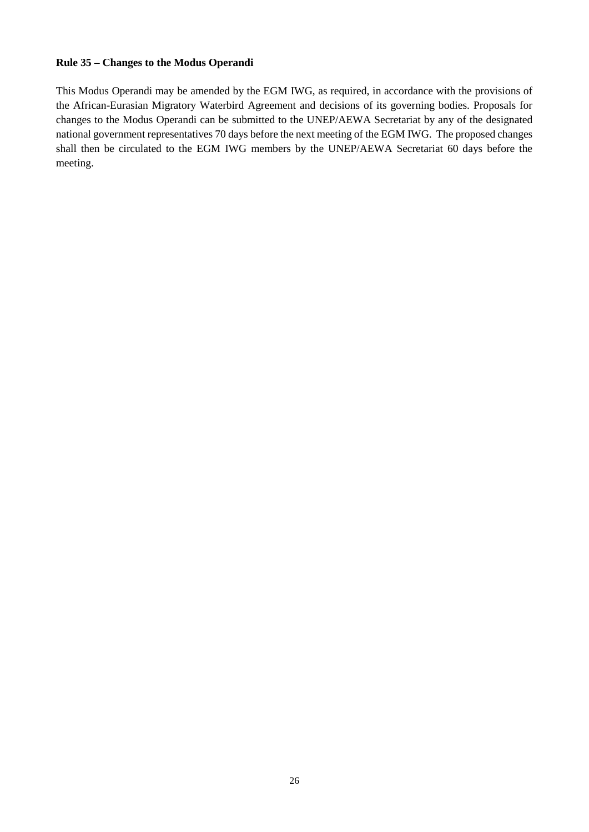### **Rule 35 – Changes to the Modus Operandi**

This Modus Operandi may be amended by the EGM IWG, as required, in accordance with the provisions of the African-Eurasian Migratory Waterbird Agreement and decisions of its governing bodies. Proposals for changes to the Modus Operandi can be submitted to the UNEP/AEWA Secretariat by any of the designated national government representatives 70 days before the next meeting of the EGM IWG. The proposed changes shall then be circulated to the EGM IWG members by the UNEP/AEWA Secretariat 60 days before the meeting.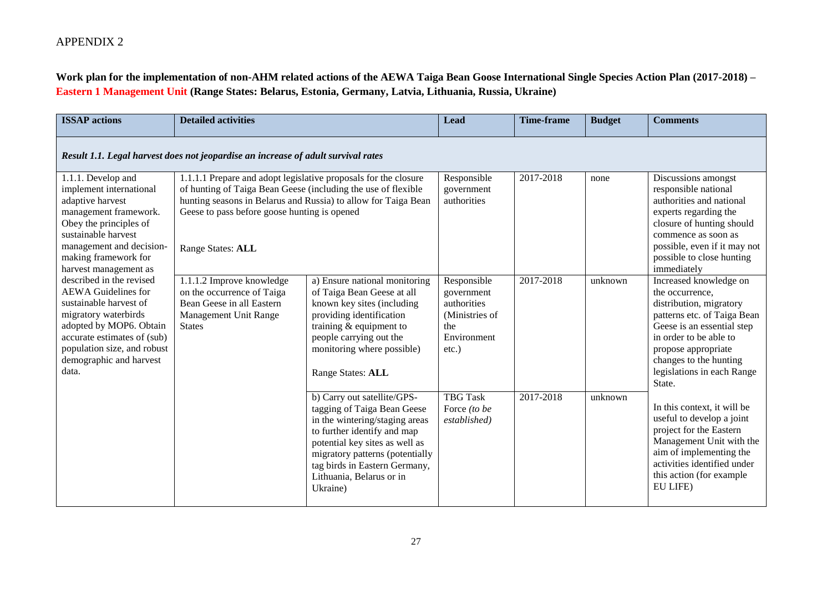## **Work plan for the implementation of non-AHM related actions of the AEWA Taiga Bean Goose International Single Species Action Plan (2017-2018) – Eastern 1 Management Unit (Range States: Belarus, Estonia, Germany, Latvia, Lithuania, Russia, Ukraine)**

| <b>ISSAP</b> actions                                                                                                                                                                                                                  | <b>Detailed activities</b>                                                                                                                                                                            |                                                                                                                                                                                                                                                                           | Lead                                                                                         | <b>Time-frame</b> | <b>Budget</b> | <b>Comments</b>                                                                                                                                                                                                                                      |  |
|---------------------------------------------------------------------------------------------------------------------------------------------------------------------------------------------------------------------------------------|-------------------------------------------------------------------------------------------------------------------------------------------------------------------------------------------------------|---------------------------------------------------------------------------------------------------------------------------------------------------------------------------------------------------------------------------------------------------------------------------|----------------------------------------------------------------------------------------------|-------------------|---------------|------------------------------------------------------------------------------------------------------------------------------------------------------------------------------------------------------------------------------------------------------|--|
| Result 1.1. Legal harvest does not jeopardise an increase of adult survival rates                                                                                                                                                     |                                                                                                                                                                                                       |                                                                                                                                                                                                                                                                           |                                                                                              |                   |               |                                                                                                                                                                                                                                                      |  |
| 1.1.1. Develop and<br>implement international<br>adaptive harvest<br>management framework.<br>Obey the principles of<br>sustainable harvest<br>management and decision-<br>making framework for<br>harvest management as              | 1.1.1.1 Prepare and adopt legislative proposals for the closure<br>of hunting of Taiga Bean Geese (including the use of flexible<br>Geese to pass before goose hunting is opened<br>Range States: ALL | hunting seasons in Belarus and Russia) to allow for Taiga Bean                                                                                                                                                                                                            | Responsible<br>government<br>authorities                                                     | 2017-2018         | none          | Discussions amongst<br>responsible national<br>authorities and national<br>experts regarding the<br>closure of hunting should<br>commence as soon as<br>possible, even if it may not<br>possible to close hunting<br>immediately                     |  |
| described in the revised<br><b>AEWA</b> Guidelines for<br>sustainable harvest of<br>migratory waterbirds<br>adopted by MOP6. Obtain<br>accurate estimates of (sub)<br>population size, and robust<br>demographic and harvest<br>data. | 1.1.1.2 Improve knowledge<br>on the occurrence of Taiga<br>Bean Geese in all Eastern<br>Management Unit Range<br><b>States</b>                                                                        | a) Ensure national monitoring<br>of Taiga Bean Geese at all<br>known key sites (including<br>providing identification<br>training $&$ equipment to<br>people carrying out the<br>monitoring where possible)<br>Range States: ALL                                          | Responsible<br>government<br>authorities<br>(Ministries of<br>the<br>Environment<br>$etc.$ ) | 2017-2018         | unknown       | Increased knowledge on<br>the occurrence,<br>distribution, migratory<br>patterns etc. of Taiga Bean<br>Geese is an essential step<br>in order to be able to<br>propose appropriate<br>changes to the hunting<br>legislations in each Range<br>State. |  |
|                                                                                                                                                                                                                                       |                                                                                                                                                                                                       | b) Carry out satellite/GPS-<br>tagging of Taiga Bean Geese<br>in the wintering/staging areas<br>to further identify and map<br>potential key sites as well as<br>migratory patterns (potentially<br>tag birds in Eastern Germany,<br>Lithuania, Belarus or in<br>Ukraine) | <b>TBG Task</b><br>Force (to be<br>established)                                              | 2017-2018         | unknown       | In this context, it will be<br>useful to develop a joint<br>project for the Eastern<br>Management Unit with the<br>aim of implementing the<br>activities identified under<br>this action (for example)<br>EU LIFE)                                   |  |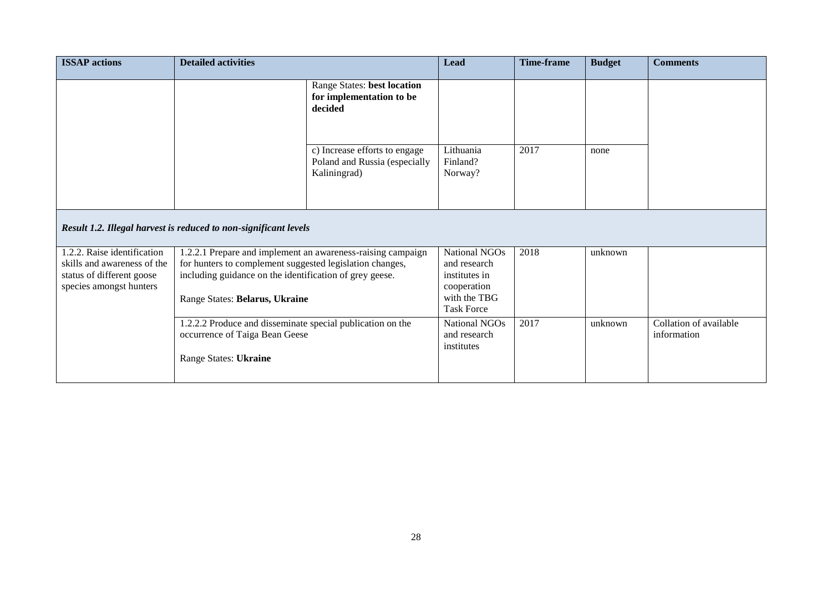| <b>ISSAP</b> actions                                                                                               | <b>Detailed activities</b>                                                                                                                                                                                           |                                                                                | <b>Lead</b>                                                                                        | Time-frame | <b>Budget</b> | <b>Comments</b>                       |
|--------------------------------------------------------------------------------------------------------------------|----------------------------------------------------------------------------------------------------------------------------------------------------------------------------------------------------------------------|--------------------------------------------------------------------------------|----------------------------------------------------------------------------------------------------|------------|---------------|---------------------------------------|
|                                                                                                                    |                                                                                                                                                                                                                      | Range States: best location<br>for implementation to be<br>decided             |                                                                                                    |            |               |                                       |
|                                                                                                                    |                                                                                                                                                                                                                      | c) Increase efforts to engage<br>Poland and Russia (especially<br>Kaliningrad) | Lithuania<br>Finland?<br>Norway?                                                                   | 2017       | none          |                                       |
| Result 1.2. Illegal harvest is reduced to non-significant levels                                                   |                                                                                                                                                                                                                      |                                                                                |                                                                                                    |            |               |                                       |
| 1.2.2. Raise identification<br>skills and awareness of the<br>status of different goose<br>species amongst hunters | 1.2.2.1 Prepare and implement an awareness-raising campaign<br>for hunters to complement suggested legislation changes,<br>including guidance on the identification of grey geese.<br>Range States: Belarus, Ukraine |                                                                                | National NGOs<br>and research<br>institutes in<br>cooperation<br>with the TBG<br><b>Task Force</b> | 2018       | unknown       |                                       |
|                                                                                                                    | 1.2.2.2 Produce and disseminate special publication on the<br>occurrence of Taiga Bean Geese<br>Range States: Ukraine                                                                                                |                                                                                | National NGOs<br>and research<br>institutes                                                        | 2017       | unknown       | Collation of available<br>information |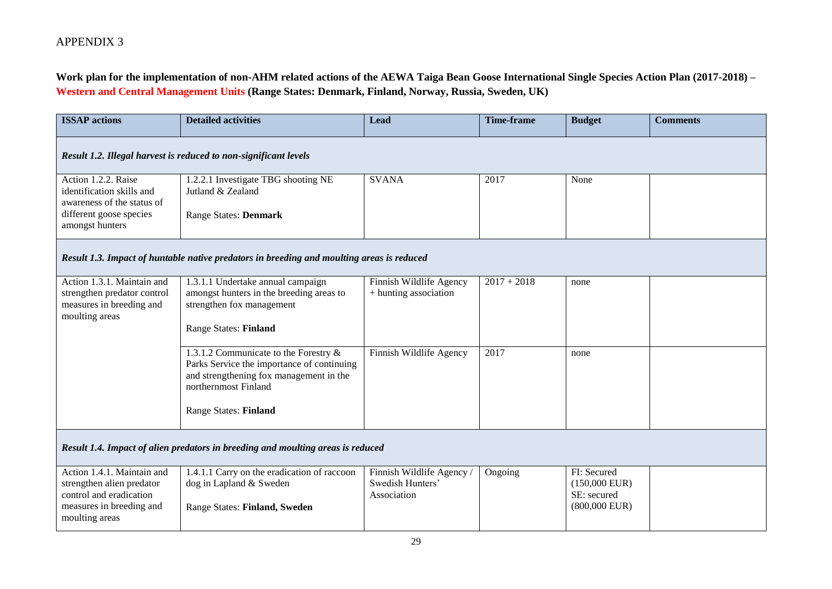**Work plan for the implementation of non-AHM related actions of the AEWA Taiga Bean Goose International Single Species Action Plan (2017-2018) – Western and Central Management Units (Range States: Denmark, Finland, Norway, Russia, Sweden, UK)**

| <b>ISSAP</b> actions                                                                                                             | <b>Detailed activities</b>                                                                                                                                                             | <b>Lead</b>                                                  | <b>Time-frame</b> | <b>Budget</b>                                                    | <b>Comments</b> |  |  |  |
|----------------------------------------------------------------------------------------------------------------------------------|----------------------------------------------------------------------------------------------------------------------------------------------------------------------------------------|--------------------------------------------------------------|-------------------|------------------------------------------------------------------|-----------------|--|--|--|
| Result 1.2. Illegal harvest is reduced to non-significant levels                                                                 |                                                                                                                                                                                        |                                                              |                   |                                                                  |                 |  |  |  |
| Action 1.2.2. Raise<br>identification skills and<br>awareness of the status of<br>different goose species<br>amongst hunters     | 1.2.2.1 Investigate TBG shooting NE<br>Jutland & Zealand<br>Range States: Denmark                                                                                                      | <b>SVANA</b>                                                 | 2017              | None                                                             |                 |  |  |  |
|                                                                                                                                  | Result 1.3. Impact of huntable native predators in breeding and moulting areas is reduced                                                                                              |                                                              |                   |                                                                  |                 |  |  |  |
| Action 1.3.1. Maintain and<br>strengthen predator control<br>measures in breeding and<br>moulting areas                          | 1.3.1.1 Undertake annual campaign<br>amongst hunters in the breeding areas to<br>strengthen fox management<br><b>Range States: Finland</b>                                             | Finnish Wildlife Agency<br>+ hunting association             | $2017 + 2018$     | none                                                             |                 |  |  |  |
|                                                                                                                                  | 1.3.1.2 Communicate to the Forestry &<br>Parks Service the importance of continuing<br>and strengthening fox management in the<br>northernmost Finland<br><b>Range States: Finland</b> | Finnish Wildlife Agency                                      | 2017              | none                                                             |                 |  |  |  |
| Result 1.4. Impact of alien predators in breeding and moulting areas is reduced                                                  |                                                                                                                                                                                        |                                                              |                   |                                                                  |                 |  |  |  |
| Action 1.4.1. Maintain and<br>strengthen alien predator<br>control and eradication<br>measures in breeding and<br>moulting areas | 1.4.1.1 Carry on the eradication of raccoon<br>dog in Lapland & Sweden<br>Range States: Finland, Sweden                                                                                | Finnish Wildlife Agency /<br>Swedish Hunters'<br>Association | Ongoing           | FI: Secured<br>$(150,000$ EUR)<br>SE: secured<br>$(800,000$ EUR) |                 |  |  |  |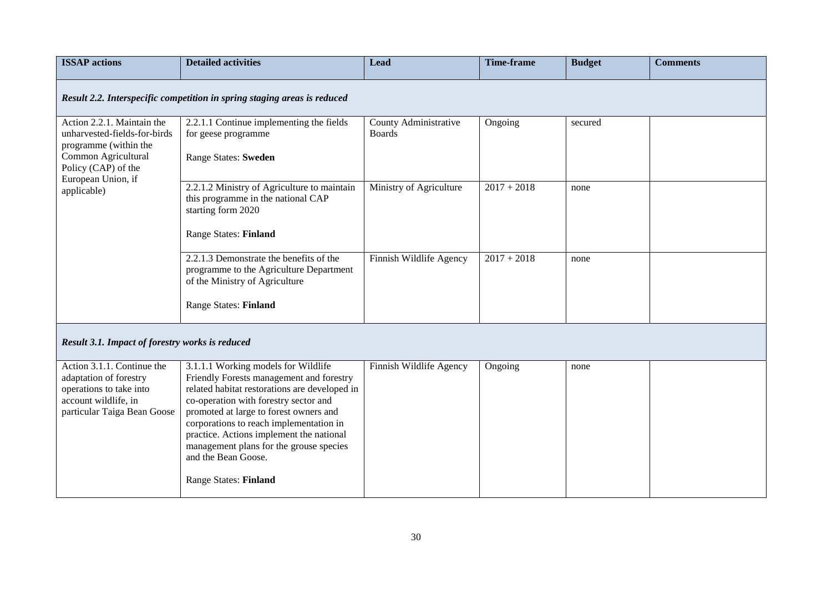| <b>ISSAP</b> actions                                                                                                                                                   | <b>Detailed activities</b>                                                                                                                                                                                                                                                                                                                                                                                   | Lead                                   | <b>Time-frame</b> | <b>Budget</b> | <b>Comments</b> |
|------------------------------------------------------------------------------------------------------------------------------------------------------------------------|--------------------------------------------------------------------------------------------------------------------------------------------------------------------------------------------------------------------------------------------------------------------------------------------------------------------------------------------------------------------------------------------------------------|----------------------------------------|-------------------|---------------|-----------------|
|                                                                                                                                                                        | Result 2.2. Interspecific competition in spring staging areas is reduced                                                                                                                                                                                                                                                                                                                                     |                                        |                   |               |                 |
| Action 2.2.1. Maintain the<br>unharvested-fields-for-birds<br>programme (within the<br>Common Agricultural<br>Policy (CAP) of the<br>European Union, if<br>applicable) | 2.2.1.1 Continue implementing the fields<br>for geese programme<br>Range States: Sweden                                                                                                                                                                                                                                                                                                                      | County Administrative<br><b>Boards</b> | Ongoing           | secured       |                 |
|                                                                                                                                                                        | 2.2.1.2 Ministry of Agriculture to maintain<br>this programme in the national CAP<br>starting form 2020<br>Range States: Finland                                                                                                                                                                                                                                                                             | Ministry of Agriculture                | $2017 + 2018$     | none          |                 |
|                                                                                                                                                                        | 2.2.1.3 Demonstrate the benefits of the<br>programme to the Agriculture Department<br>of the Ministry of Agriculture<br><b>Range States: Finland</b>                                                                                                                                                                                                                                                         | Finnish Wildlife Agency                | $2017 + 2018$     | none          |                 |
| Result 3.1. Impact of forestry works is reduced                                                                                                                        |                                                                                                                                                                                                                                                                                                                                                                                                              |                                        |                   |               |                 |
| Action 3.1.1. Continue the<br>adaptation of forestry<br>operations to take into<br>account wildlife, in<br>particular Taiga Bean Goose                                 | 3.1.1.1 Working models for Wildlife<br>Friendly Forests management and forestry<br>related habitat restorations are developed in<br>co-operation with forestry sector and<br>promoted at large to forest owners and<br>corporations to reach implementation in<br>practice. Actions implement the national<br>management plans for the grouse species<br>and the Bean Goose.<br><b>Range States: Finland</b> | Finnish Wildlife Agency                | Ongoing           | none          |                 |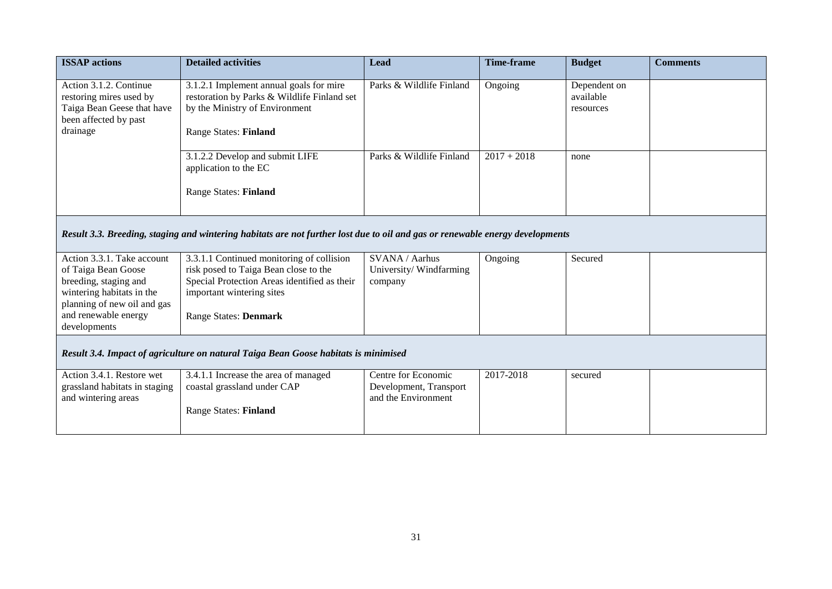| <b>ISSAP</b> actions                                                                                                                                                           | <b>Detailed activities</b>                                                                                                                                                                      | <b>Lead</b>                                                          | <b>Time-frame</b> | <b>Budget</b>                          | <b>Comments</b> |  |  |  |
|--------------------------------------------------------------------------------------------------------------------------------------------------------------------------------|-------------------------------------------------------------------------------------------------------------------------------------------------------------------------------------------------|----------------------------------------------------------------------|-------------------|----------------------------------------|-----------------|--|--|--|
| Action 3.1.2. Continue<br>restoring mires used by<br>Taiga Bean Geese that have<br>been affected by past<br>drainage                                                           | 3.1.2.1 Implement annual goals for mire<br>restoration by Parks & Wildlife Finland set<br>by the Ministry of Environment<br><b>Range States: Finland</b>                                        | Parks & Wildlife Finland                                             | Ongoing           | Dependent on<br>available<br>resources |                 |  |  |  |
|                                                                                                                                                                                | 3.1.2.2 Develop and submit LIFE<br>application to the EC<br><b>Range States: Finland</b>                                                                                                        | Parks & Wildlife Finland                                             | $2017 + 2018$     | none                                   |                 |  |  |  |
|                                                                                                                                                                                | Result 3.3. Breeding, staging and wintering habitats are not further lost due to oil and gas or renewable energy developments                                                                   |                                                                      |                   |                                        |                 |  |  |  |
| Action 3.3.1. Take account<br>of Taiga Bean Goose<br>breeding, staging and<br>wintering habitats in the<br>planning of new oil and gas<br>and renewable energy<br>developments | 3.3.1.1 Continued monitoring of collision<br>risk posed to Taiga Bean close to the<br>Special Protection Areas identified as their<br>important wintering sites<br><b>Range States: Denmark</b> | SVANA / Aarhus<br>University/Windfarming<br>company                  | Ongoing           | Secured                                |                 |  |  |  |
| Result 3.4. Impact of agriculture on natural Taiga Bean Goose habitats is minimised                                                                                            |                                                                                                                                                                                                 |                                                                      |                   |                                        |                 |  |  |  |
| Action 3.4.1. Restore wet<br>grassland habitats in staging<br>and wintering areas                                                                                              | 3.4.1.1 Increase the area of managed<br>coastal grassland under CAP<br><b>Range States: Finland</b>                                                                                             | Centre for Economic<br>Development, Transport<br>and the Environment | 2017-2018         | secured                                |                 |  |  |  |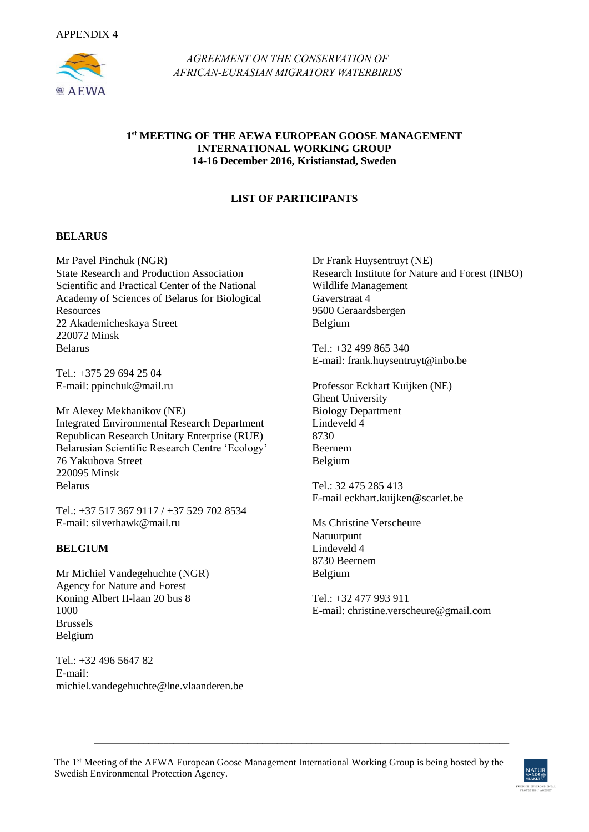

*AGREEMENT ON THE CONSERVATION OF AFRICAN-EURASIAN MIGRATORY WATERBIRDS* 

#### **1 st MEETING OF THE AEWA EUROPEAN GOOSE MANAGEMENT INTERNATIONAL WORKING GROUP 14-16 December 2016, Kristianstad, Sweden**

## **LIST OF PARTICIPANTS**

#### **BELARUS**

Mr Pavel Pinchuk (NGR) State Research and Production Association Scientific and Practical Center of the National Academy of Sciences of Belarus for Biological Resources 22 Akademicheskaya Street 220072 Minsk Belarus

Tel.: +375 29 694 25 04 E-mail: [ppinchuk@mail.ru](mailto:ppinchuk@mail.ru)

Mr Alexey Mekhanikov (NE) Integrated Environmental Research Department Republican Research Unitary Enterprise (RUE) Belarusian Scientific Research Centre 'Ecology' 76 Yakubova Street 220095 Minsk Belarus

Tel.: +37 517 367 9117 / +37 529 702 8534 E-mail: [silverhawk@mail.ru](mailto:silverhawk@mail.ru)

#### **BELGIUM**

Mr Michiel Vandegehuchte (NGR) Agency for Nature and Forest Koning Albert II-laan 20 bus 8 1000 Brussels Belgium

Tel.: +32 496 5647 82 E-mail: [michiel.vandegehuchte@lne.vlaanderen](mailto:ichiel.vandegehuchte@lne.vlaandere).be Dr Frank Huysentruyt (NE) Research Institute for Nature and Forest (INBO) Wildlife Management Gaverstraat 4 9500 Geraardsbergen Belgium

Tel.: +32 499 865 340 E-mail: [frank.huysentruyt@inbo.be](mailto:frank.huysentruyt@inbo.be)

Professor Eckhart Kuijken (NE) Ghent University Biology Department Lindeveld  $\overline{4}$ 8730 Beernem Belgium

Tel.: 32 475 285 413 E-mail [eckhart.kuijken@scarlet.be](mailto:eckhart.kuijken@scarlet.be)

Ms Christine Verscheure Natuurpunt Lindeveld 4 8730 Beernem Belgium

Tel.: +32 477 993 911 E-mail: [christine.verscheure@gmail.com](mailto:christine.verscheure@gmail.com)

\_\_\_\_\_\_\_\_\_\_\_\_\_\_\_\_\_\_\_\_\_\_\_\_\_\_\_\_\_\_\_\_\_\_\_\_\_\_\_\_\_\_\_\_\_\_\_\_\_\_\_\_\_\_\_\_\_\_\_\_\_\_\_\_\_\_\_\_\_\_\_\_\_\_\_\_\_\_\_\_\_\_\_\_

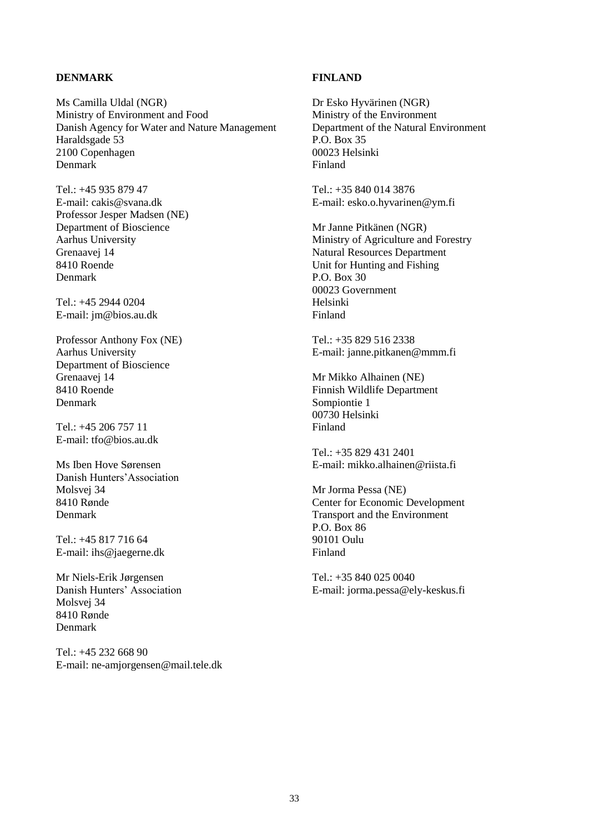#### **DENMARK**

Ms Camilla Uldal (NGR) Ministry of Environment and Food Danish Agency for Water and Nature Management Haraldsgade 53 2100 Copenhagen Denmark

Tel.: +45 935 879 47 E-mail: [cakis@svana.dk](mailto:cakis@svana.dk) Professor Jesper Madsen (NE) Department of Bioscience Aarhus University Grenaavej 14 8410 Roende Denmark

Tel.: +45 2944 0204 E-mail: [jm@bios.au.dk](mailto:jm@bios.au.dk)

Professor Anthony Fox (NE) Aarhus University Department of Bioscience Grenaavej 14 8410 Roende Denmark

Tel.: +45 206 757 11 E-mail: [tfo@bios.au.dk](mailto:tfo@bios.au.dk)

Ms Iben Hove Sørensen Danish Hunters'Association Molsvej 34 8410 Rønde Denmark

Tel.: +45 817 716 64 E-mail: [ihs@jaegerne.dk](mailto:ihs@jaegerne.dk)

Mr Niels-Erik Jørgensen Danish Hunters' Association Molsvej 34 8410 Rønde Denmark

Tel.: +45 232 668 90 E-mail: [ne-amjorgensen@mail.tele.dk](mailto:ne-amjorgensen@mail.tele.dk)

#### **FINLAND**

Dr Esko Hyvärinen (NGR) Ministry of the Environment Department of the Natural Environment P.O. Box 35 00023 Helsinki Finland

Tel.: +35 840 014 3876 E-mail: [esko.o.hyvarinen@ym.fi](mailto:esko.o.hyvarinen@ym.fi)

Mr Janne Pitkänen (NGR) Ministry of Agriculture and Forestry Natural Resources Department Unit for Hunting and Fishing P.O. Box 30 00023 Government Helsinki Finland

Tel.: +35 829 516 2338 E-mail: [janne.pitkanen@mmm.fi](mailto:janne.pitkanen@mmm.fi)

Mr Mikko Alhainen (NE) Finnish Wildlife Department Sompiontie 1 00730 Helsinki Finland

Tel.: +35 829 431 2401 E-mail: [mikko.alhainen@riista.fi](mailto:mikko.alhainen@riista.fi)

Mr Jorma Pessa (NE) Center for Economic Development Transport and the Environment P.O. Box 86 90101 Oulu Finland

Tel.: +35 840 025 0040 E-mail: [jorma.pessa@ely-keskus.fi](mailto:orma.pessa@ely-keskus.fi)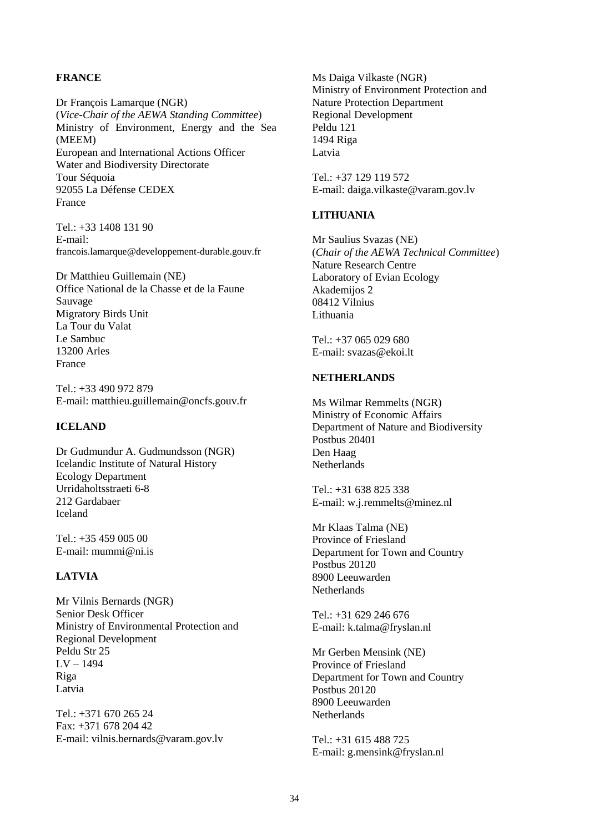#### **FRANCE**

Dr François Lamarque (NGR) (*Vice-Chair of the AEWA Standing Committee*) Ministry of Environment, Energy and the Sea (MEEM) European and International Actions Officer Water and Biodiversity Directorate Tour Séquoia 92055 La Défense CEDEX France

Tel.: +33 1408 131 90 E-mail: [francois.lamarque@developpement-durable.gouv.fr](mailto:francois.lamarque@developpement-durable.gouv.fr)

Dr Matthieu Guillemain (NE) Office National de la Chasse et de la Faune Sauvage Migratory Birds Unit La Tour du Valat Le Sambuc 13200 Arles France

Tel.: +33 490 972 879 E-mail: [matthieu.guillemain@oncfs.gouv.fr](mailto:matthieu.guillemain@oncfs.gouv.fr)

#### **ICELAND**

Dr Gudmundur A. Gudmundsson (NGR) Icelandic Institute of Natural History Ecology Department Urridaholtsstraeti 6-8 212 Gardabaer Iceland

Tel.: +35 459 005 00 E-mail: [mummi@ni.is](mailto:mummi@ni.is)

#### **LATVIA**

Mr Vilnis Bernards (NGR) Senior Desk Officer Ministry of Environmental Protection and Regional Development Peldu Str 25 LV – 1494 Riga Latvia

Tel.: +371 670 265 24 Fax: +371 678 204 42 E-mail: [vilnis.bernards@varam.gov.lv](mailto:ilnis.bernards@varam.gov.lt)

Ms Daiga Vilkaste (NGR) Ministry of Environment Protection and Nature Protection Department Regional Development Peldu 121 1494 Riga Latvia

Tel.: +37 129 119 572 E-mail: [daiga.vilkaste@varam.gov.lv](mailto:daiga.vilkaste@varam.gov.lv)

#### **LITHUANIA**

Mr Saulius Svazas (NE) (*Chair of the AEWA Technical Committee*) Nature Research Centre Laboratory of Evian Ecology Akademijos 2 08412 Vilnius Lithuania

Tel.: +37 065 029 680 E-mail: [svazas@ekoi.lt](mailto:svazas@ekoi.lt)

#### **NETHERLANDS**

Ms Wilmar Remmelts (NGR) Ministry of Economic Affairs Department of Nature and Biodiversity Postbus 20401 Den Haag **Netherlands** 

Tel.: +31 638 825 338 E-mail: [w.j.remmelts@minez.nl](mailto:w.j.remmelts@minez.nl)

Mr Klaas Talma (NE) Province of Friesland Department for Town and Country Postbus 20120 8900 Leeuwarden Netherlands

Tel.: +31 629 246 676 E-mail: [k.talma@fryslan.nl](mailto:k.talma@fryslan.nl)

Mr Gerben Mensink (NE) Province of Friesland Department for Town and Country Postbus 20120 8900 Leeuwarden Netherlands

Tel.: +31 615 488 725 E-mail: [g.mensink@fryslan.nl](mailto:g.mensink@fryslan.nl)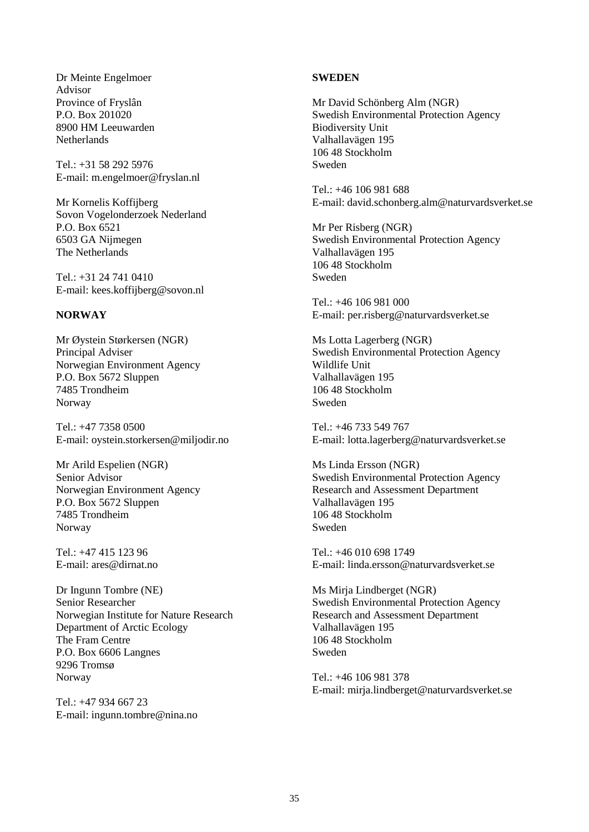Dr Meinte Engelmoer Advisor Province of Fryslân P.O. Box 201020 8900 HM Leeuwarden **Netherlands** 

 $Tel \cdot +31$  58 292 5976 E-mail: [m.engelmoer@fryslan.nl](mailto:m.engelmoer@fryslan.nl)

Mr Kornelis Koffijberg Sovon Vogelonderzoek Nederland P.O. Box 6521 6503 GA Nijmegen The Netherlands

Tel.: +31 24 741 0410 E-mail: [kees.koffijberg@sovon.nl](mailto:kees.koffijberg@sovon.nl)

### **NORWAY**

Mr Øystein Størkersen (NGR) Principal Adviser Norwegian Environment Agency P.O. Box 5672 Sluppen 7485 Trondheim Norway

Tel.: +47 7358 0500 E-mail: [oystein.storkersen@miljodir.no](mailto:oystein.storkersen@miljodir.no)

Mr Arild Espelien (NGR) Senior Advisor Norwegian Environment Agency P.O. Box 5672 Sluppen 7485 Trondheim Norway

Tel.: +47 415 123 96 E-mail: [ares@dirnat.no](mailto:ares@dirnat.no)

Dr Ingunn Tombre (NE) Senior Researcher Norwegian Institute for Nature Research Department of Arctic Ecology The Fram Centre P.O. Box 6606 Langnes 9296 Tromsø Norway

Tel.: +47 934 667 23 E-mail: [ingunn.tombre@nina.no](mailto:ingunn.tombre@nina.no)

#### **SWEDEN**

Mr David Schönberg Alm (NGR) Swedish Environmental Protection Agency Biodiversity Unit Valhallavägen 195 106 48 Stockholm Sweden

Tel.: +46 106 981 688 E-mail: [david.schonberg.alm@naturvardsverket.se](mailto:david.schonberg.alm@naturvardsverket.se)

Mr Per Risberg (NGR) Swedish Environmental Protection Agency Valhallavägen 195 106 48 Stockholm Sweden

Tel.: +46 106 981 000 E-mail: [per.risberg@naturvardsverket.se](mailto:per.risberg@naturvardsverket.se)

Ms Lotta Lagerberg (NGR) Swedish Environmental Protection Agency Wildlife Unit Valhallavägen 195 106 48 Stockholm Sweden

Tel.: +46 733 549 767 E-mail: [lotta.lagerberg@naturvardsverket.se](mailto:lotta.lagerberg@naturvardsverket.se)

Ms Linda Ersson (NGR) Swedish Environmental Protection Agency Research and Assessment Department Valhallavägen 195 106 48 Stockholm Sweden

Tel.: +46 010 698 1749 E-mail: [linda.ersson@naturvardsverket.se](mailto:linda.ersson@naturvardsverket.se)

Ms Mirja Lindberget (NGR) Swedish Environmental Protection Agency Research and Assessment Department Valhallavägen 195 106 48 Stockholm Sweden

Tel.: +46 106 981 378 E-mail: [mirja.lindberget@naturvardsverket.se](mailto:mirja.lindberget@naturvardsverket.se)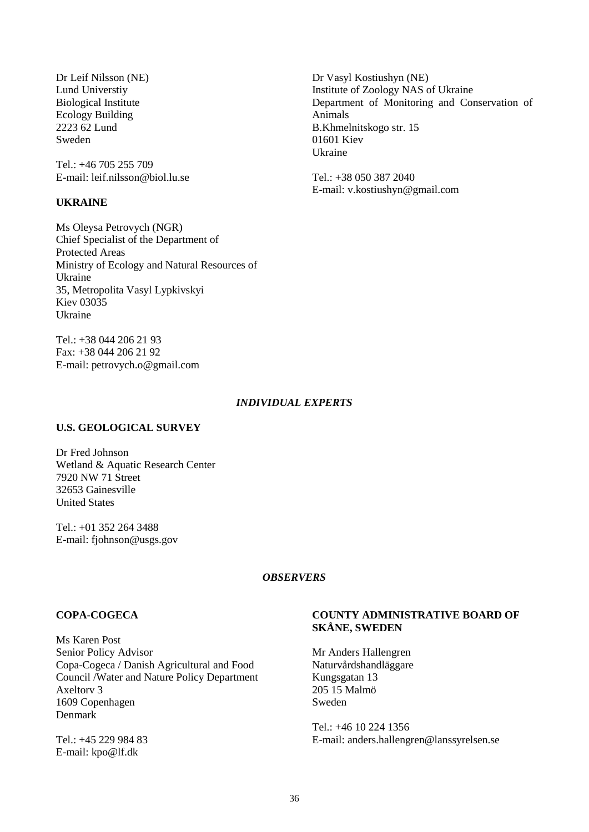Dr Leif Nilsson (NE) Lund Universtiy Biological Institute Ecology Building 2223 62 Lund Sweden

 $Tel \cdot +46\ 705\ 255\ 709$ E-mail: [leif.nilsson@biol.lu.se](mailto:leif.nilsson@biol.lu.se)

#### **UKRAINE**

Ms Oleysa Petrovych (NGR) Chief Specialist of the Department of Protected Areas Ministry of Ecology and Natural Resources of Ukraine 35, Metropolita Vasyl Lypkivskyi Kiev 03035 Ukraine

Tel.: +38 044 206 21 93 Fax: +38 044 206 21 92 E-mail: [petrovych.o@gmail.com](mailto:petrovych.o@gmail.com)

#### *INDIVIDUAL EXPERTS*

#### **U.S. GEOLOGICAL SURVEY**

Dr Fred Johnson Wetland & Aquatic Research Center 7920 NW 71 Street 32653 Gainesville United States

Tel.: +01 352 264 3488 E-mail: [fjohnson@usgs.gov](mailto:fjohnson@usgs.gov)

#### *OBSERVERS*

#### **COPA-COGECA**

Ms Karen Post Senior Policy Advisor Copa-Cogeca / Danish Agricultural and Food Council /Water and Nature Policy Department Axeltorv 3 1609 Copenhagen Denmark

Tel.: +45 229 984 83 E-mail: [kpo@lf.dk](mailto:kpo@lf.dk)

#### **COUNTY ADMINISTRATIVE BOARD OF SKÅNE, SWEDEN**

Mr Anders Hallengren Naturvårdshandläggare Kungsgatan 13 205 15 Malmö Sweden

Tel.: +46 10 224 1356 E-mail: [anders.hallengren@lanssyrelsen.se](mailto:anders.hallengren@lanssyrelsen.se)

Dr Vasyl Kostiushyn (NE) Institute of Zoology NAS of Ukraine Department of Monitoring and Conservation of Animals B.Khmelnitskogo str. 15 01601 Kiev Ukraine

Tel.: +38 050 387 2040 E-mail: [v.kostiushyn@gmail.com](mailto:v.kostiushyn@gmail.com)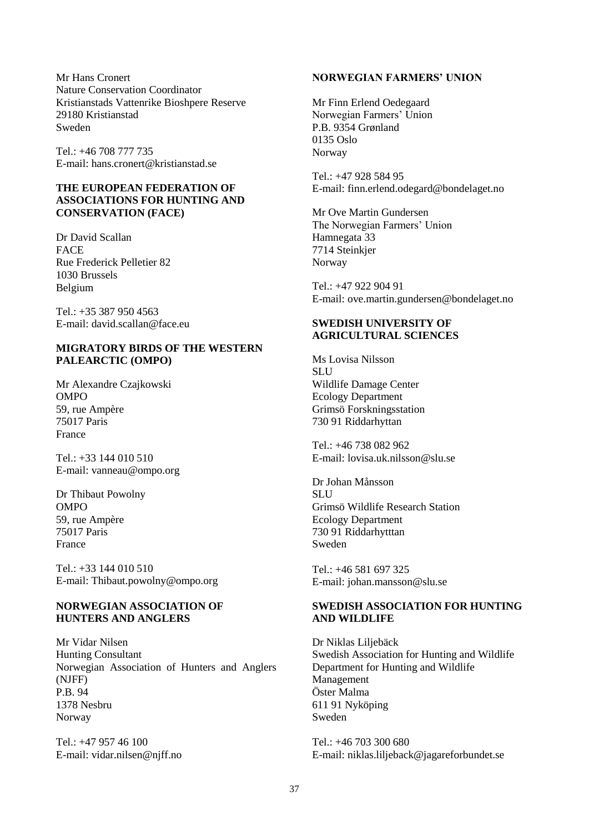Mr Hans Cronert Nature Conservation Coordinator Kristianstads Vattenrike Bioshpere Reserve 29180 Kristianstad Sweden

Tel.: +46 708 777 735 E-mail: [hans.cronert@kristianstad.se](mailto:hans.cronert@kristianstad.se)

#### **THE EUROPEAN FEDERATION OF ASSOCIATIONS FOR HUNTING AND CONSERVATION (FACE)**

Dr David Scallan FACE Rue Frederick Pelletier 82 1030 Brussels Belgium

 $Tel + 35 387 950 4563$ E-mail: [david.scallan@face.eu](mailto:david.scallan@face.eu)

#### **MIGRATORY BIRDS OF THE WESTERN PALEARCTIC (OMPO)**

Mr Alexandre Czajkowski OMPO 59, rue Ampère 75017 Paris France

Tel.: +33 144 010 510 E-mail: [vanneau@ompo.org](mailto:vanneau@ompo.org)

Dr Thibaut Powolny OMPO 59, rue Ampère 75017 Paris France

Tel.: +33 144 010 510 E-mail: [Thibaut.powolny@ompo.org](mailto:Thibaut.powolny@ompo.org)

#### **NORWEGIAN ASSOCIATION OF HUNTERS AND ANGLERS**

Mr Vidar Nilsen Hunting Consultant Norwegian Association of Hunters and Anglers (NJFF) P.B. 94 1378 Nesbru Norway

Tel.: +47 957 46 100 E-mail: [vidar.nilsen@njff.no](mailto:vidar.nilsen@njff.no)

#### **NORWEGIAN FARMERS' UNION**

Mr Finn Erlend Oedegaard Norwegian Farmers' Union P.B. 9354 Grønland 0135 Oslo Norway

Tel.: +47 928 584 95 E-mail: [finn.erlend.odegard@bondelaget.no](mailto:finn.erlend.odegard@bondelaget.no)

Mr Ove Martin Gundersen The Norwegian Farmers' Union Hamnegata 33 7714 Steinkjer Norway

Tel.: +47 922 904 91 E-mail: [ove.martin.gundersen@bondelaget.no](mailto:ove.martin.gundersen@bondelaget.no)

#### **SWEDISH UNIVERSITY OF AGRICULTURAL SCIENCES**

Ms Lovisa Nilsson **SLU** Wildlife Damage Center Ecology Department Grimsö Forskningsstation 730 91 Riddarhyttan

Tel.: +46 738 082 962 E-mail: [lovisa.uk.nilsson@slu.se](mailto:lovisa.uk.nilsson@slu.se)

Dr Johan Månsson **SLU** Grimsö Wildlife Research Station Ecology Department 730 91 Riddarhytttan Sweden

Tel:  $+46$  581 697 325 E-mail: [johan.mansson@slu.se](mailto:johan.mansson@slu.se)

## **SWEDISH ASSOCIATION FOR HUNTING AND WILDLIFE**

Dr Niklas Liljebäck Swedish Association for Hunting and Wildlife Department for Hunting and Wildlife Management Öster Malma 611 91 Nyköping Sweden

Tel.: +46 703 300 680 E-mail: [niklas.liljeback@jagareforbundet.se](mailto:niklas.liljeback@jagareforbundet.se)